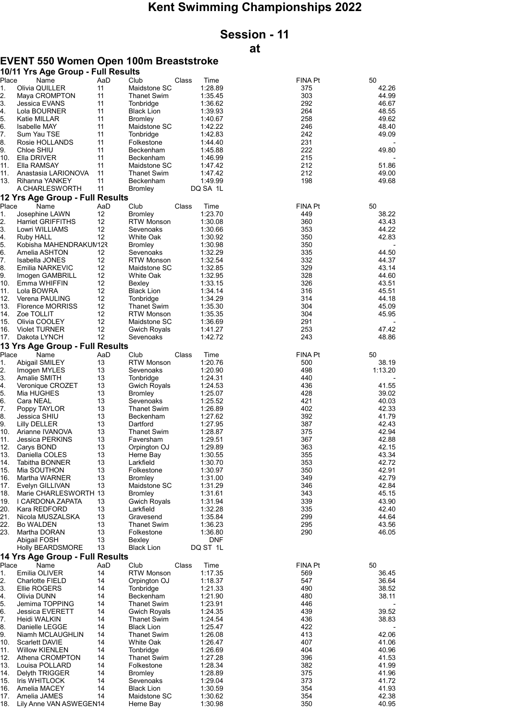## Kent Swimming Championships 2022

# Session - 11

### at

#### EVENT 550 Women Open 100m Breaststroke

|             | 10/11 Yrs Age Group - Full Results              |           |                                   |       |                    |                       |                |
|-------------|-------------------------------------------------|-----------|-----------------------------------|-------|--------------------|-----------------------|----------------|
| Place<br>1. | Name<br>Olivia QUILLER                          | AaD<br>11 | Club<br>Maidstone SC              | Class | Time<br>1:28.89    | <b>FINA Pt</b><br>375 | 50<br>42.26    |
| 2.          | Maya CROMPTON                                   | 11        | <b>Thanet Swim</b>                |       | 1:35.45            | 303                   | 44.99          |
| 3.          | Jessica EVANS                                   | 11        | Tonbridge                         |       | 1:36.62            | 292                   | 46.67          |
| 4.          | Lola BOURNER                                    | 11        | <b>Black Lion</b>                 |       | 1:39.93            | 264                   | 48.55          |
| 5.          | Katie MILLAR                                    | 11        | <b>Bromley</b>                    |       | 1:40.67            | 258                   | 49.62          |
| 6.          | <b>Isabelle MAY</b>                             | 11        | Maidstone SC                      |       | 1:42.22            | 246                   | 48.40          |
| 7.<br>8.    | Sum Yau TSE                                     | 11<br>11  | Tonbridge                         |       | 1:42.83<br>1:44.40 | 242<br>231            | 49.09          |
| 9.          | Rosie HOLLANDS<br>Chloe SHIU                    | 11        | Folkestone<br>Beckenham           |       | 1:45.88            | 222                   | 49.80          |
| 10.         | Ella DRIVER                                     | 11        | Beckenham                         |       | 1:46.99            | 215                   |                |
| 11.         | Ella RAMSAY                                     | 11        | Maidstone SC                      |       | 1:47.42            | 212                   | 51.86          |
| 11.         | Anastasia LARIONOVA                             | 11        | <b>Thanet Swim</b>                |       | 1:47.42            | 212                   | 49.00          |
|             | 13. Rihanna YANKEY                              | 11        | Beckenham                         |       | 1:49.99            | 198                   | 49.68          |
|             | A CHARLESWORTH                                  | 11        | <b>Bromley</b>                    |       | DQ SA 1L           |                       |                |
| Place       | 12 Yrs Age Group - Full Results<br>Name         | AaD       | Club                              | Class | Time               | <b>FINA Pt</b>        | 50             |
| 1.          | Josephine LAWN                                  | 12        | <b>Bromley</b>                    |       | 1:23.70            | 449                   | 38.22          |
| 2.          | <b>Harriet GRIFFITHS</b>                        | 12        | <b>RTW Monson</b>                 |       | 1:30.08            | 360                   | 43.43          |
| 3.          | Lowri WILLIAMS                                  | 12        | Sevenoaks                         |       | 1:30.66            | 353                   | 44.22          |
| 4.          | Ruby HALL                                       | 12        | White Oak                         |       | 1:30.92            | 350                   | 42.83          |
| 5.          | Kobisha MAHENDRAKUM12R                          |           | <b>Bromley</b>                    |       | 1:30.98            | 350                   |                |
| 6.          | Amelia ASHTON                                   | 12<br>12  | Sevenoaks                         |       | 1:32.29<br>1:32.54 | 335<br>332            | 44.50<br>44.37 |
| 7.<br>8.    | Isabella JONES<br>Emilia NARKEVIC               | 12        | <b>RTW Monson</b><br>Maidstone SC |       | 1:32.85            | 329                   | 43.14          |
| 9.          | Imogen GAMBRILL                                 | 12        | White Oak                         |       | 1:32.95            | 328                   | 44.60          |
| 10.         | Emma WHIFFIN                                    | 12        | Bexley                            |       | 1:33.15            | 326                   | 43.51          |
| 11.         | Lola BOWRA                                      | 12        | <b>Black Lion</b>                 |       | 1:34.14            | 316                   | 45.51          |
| 12.         | Verena PAULING                                  | 12        | Tonbridge                         |       | 1:34.29            | 314                   | 44.18          |
| 13.         | <b>Florence MORRISS</b>                         | 12        | Thanet Swim                       |       | 1:35.30            | 304                   | 45.09          |
| 14.         | Zoe TOLLIT                                      | 12        | <b>RTW Monson</b>                 |       | 1:35.35            | 304                   | 45.95          |
| 15.         | Olivia COOLEY                                   | 12        | Maidstone SC                      |       | 1:36.69            | 291                   |                |
| 16.         | <b>Violet TURNER</b>                            | 12        | <b>Gwich Royals</b>               |       | 1:41.27            | 253                   | 47.42          |
| 17.         | Dakota LYNCH<br>13 Yrs Age Group - Full Results | 12        | Sevenoaks                         |       | 1:42.72            | 243                   | 48.86          |
| Place       | Name                                            | AaD       | Club                              | Class | Time               | <b>FINA Pt</b>        | 50             |
| 1.          | Abigail SMILEY                                  | 13        | <b>RTW Monson</b>                 |       | 1:20.76            | 500                   | 38.19          |
| 2.          | Imogen MYLES                                    | 13        | Sevenoaks                         |       | 1:20.90            | 498                   | 1:13.20        |
| 3.          | Amalie SMITH                                    | 13        | Tonbridge                         |       | 1:24.31            | 440                   |                |
| 4.          | Veronique CROZET                                | 13        | Gwich Royals                      |       | 1:24.53            | 436                   | 41.55          |
| 5.          | Mia HUGHES                                      | 13        | <b>Bromley</b>                    |       | 1:25.07            | 428                   | 39.02          |
| 6.          | Cara NEAL                                       | 13        | Sevenoaks                         |       | 1:25.52            | 421                   | 40.03          |
| 7.<br>8.    | Poppy TAYLOR                                    | 13<br>13  | <b>Thanet Swim</b>                |       | 1:26.89            | 402                   | 42.33          |
| 9.          | Jessica SHIU<br><b>Lilly DELLER</b>             | 13        | Beckenham<br>Dartford             |       | 1:27.62<br>1:27.95 | 392<br>387            | 41.79<br>42.43 |
| 10.         | Arianne IVANOVA                                 | 13        | Thanet Swim                       |       | 1:28.87            | 375                   | 42.94          |
| 11.         | Jessica PERKINS                                 | 13        | Faversham                         |       | 1:29.51            | 367                   | 42.88          |
| 12.         | Carys BOND                                      | 13        | Orpington OJ                      |       | 1:29.89            | 363                   | 42.15          |
| 13.         | Daniella COLES                                  | 13        | Herne Bay                         |       | 1:30.55            | 355                   | 43.34          |
| 14.         | <b>Tabitha BONNER</b>                           | 13        | Larkfield                         |       | 1:30.70            | 353                   | 42.72          |
| 15.         | Mia SOUTHON                                     | 13        | Folkestone                        |       | 1:30.97            | 350                   | 42.91          |
| 16.         | Martha WARNER                                   | 13        | <b>Bromley</b>                    |       | 1:31.00            | 349                   | 42.79          |
| 17.         | Evelyn GILLIVAN                                 | 13        | Maidstone SC                      |       | 1:31.29            | 346                   | 42.84          |
| 18.         | Marie CHARLESWORTH 13                           | 13        | <b>Bromley</b>                    |       | 1:31.61            | 343<br>339            | 45.15<br>43.90 |
| 19.<br>20.  | I CARDONA ZAPATA<br>Kara REDFORD                | 13        | Gwich Royals<br>Larkfield         |       | 1:31.94<br>1:32.28 | 335                   | 42.40          |
| 21.         | Nicola MUSZALSKA                                | 13        | Gravesend                         |       | 1:35.84            | 299                   | 44.64          |
| 22.         | <b>Bo WALDEN</b>                                | 13        | Thanet Swim                       |       | 1:36.23            | 295                   | 43.56          |
| 23.         | Martha DORAN                                    | 13        | Folkestone                        |       | 1:36.80            | 290                   | 46.05          |
|             | Abigail FOSH                                    | 13        | Bexley                            |       | <b>DNF</b>         |                       |                |
|             | <b>Holly BEARDSMORE</b>                         | 13        | <b>Black Lion</b>                 |       | DQ ST 1L           |                       |                |
|             | 14 Yrs Age Group - Full Results                 |           |                                   |       |                    |                       |                |
| Place       | Name                                            | AaD       | Club                              | Class | Time               | <b>FINA Pt</b>        | 50             |
| 1.<br>2.    | Emilia OLIVER<br><b>Charlotte FIELD</b>         | 14<br>14  | <b>RTW Monson</b><br>Orpington OJ |       | 1:17.35<br>1:18.37 | 569<br>547            | 36.45<br>36.64 |
| 3.          | Ellie ROGERS                                    | 14        | Tonbridge                         |       | 1:21.33            | 490                   | 38.52          |
| 4.          | Olivia DUNN                                     | 14        | Beckenham                         |       | 1:21.90            | 480                   | 38.11          |
| 5.          | Jemima TOPPING                                  | 14        | <b>Thanet Swim</b>                |       | 1:23.91            | 446                   |                |
| 6.          | Jessica EVERETT                                 | 14        | <b>Gwich Royals</b>               |       | 1:24.35            | 439                   | 39.52          |
| 7.          | Heidi WALKIN                                    | 14        | Thanet Swim                       |       | 1:24.54            | 436                   | 38.83          |
| 8.          | Danielle LEGGE                                  | 14        | <b>Black Lion</b>                 |       | 1:25.47            | 422                   |                |
| 9.          | Niamh MCLAUGHLIN                                | 14        | Thanet Swim                       |       | 1:26.08            | 413                   | 42.06          |
| 10.         | Scarlett DAVIE                                  | 14        | White Oak                         |       | 1:26.47            | 407                   | 41.06          |
| 11.<br>12.  | <b>Willow KIENLEN</b>                           | 14<br>14  | Tonbridge<br>Thanet Swim          |       | 1:26.69            | 404<br>396            | 40.96<br>41.53 |
| 13.         | Athena CROMPTON<br>Louisa POLLARD               | 14        | Folkestone                        |       | 1:27.28<br>1:28.34 | 382                   | 41.99          |
| 14.         | Delyth TRIGGER                                  | 14        | <b>Bromley</b>                    |       | 1:28.89            | 375                   | 41.96          |
| 15.         | Iris WHITLOCK                                   | 14        | Sevenoaks                         |       | 1:29.04            | 373                   | 41.72          |
| 16.         | Amelia MACEY                                    | 14        | <b>Black Lion</b>                 |       | 1:30.59            | 354                   | 41.93          |
| 17.         | Amelia JAMES                                    | 14        | Maidstone SC                      |       | 1:30.62            | 354                   | 42.38          |
| 18.         | Lily Anne VAN ASWEGEN14                         |           | Herne Bay                         |       | 1:30.98            | 350                   | 40.95          |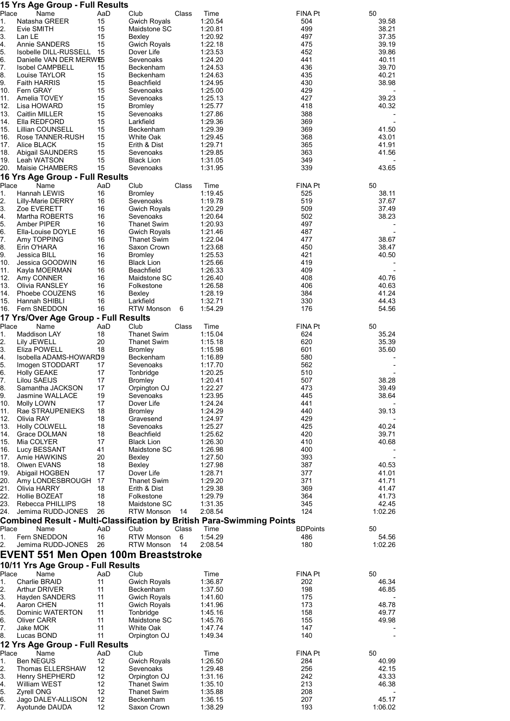|             | 15 Yrs Age Group - Full Results                                                       |           |                                           |       |                    |                 |                |
|-------------|---------------------------------------------------------------------------------------|-----------|-------------------------------------------|-------|--------------------|-----------------|----------------|
| Place<br>1. | Name<br>Natasha GREER                                                                 | AaD<br>15 | Club<br><b>Gwich Royals</b>               | Class | Time<br>1:20.54    | FINA Pt<br>504  | 50<br>39.58    |
| 2.          | Evie SMITH                                                                            | 15        | Maidstone SC                              |       | 1:20.81            | 499             | 38.21          |
| 3.          | Lan LE                                                                                | 15        | Bexley                                    |       | 1:20.92            | 497             | 37.35          |
| 4.          | Annie SANDERS                                                                         | 15        | <b>Gwich Royals</b>                       |       | 1:22.18            | 475             | 39.19          |
| 5.<br>6.    | Isobelle DILL-RUSSELL<br>Danielle VAN DER MERWES                                      | 15        | Dover Life<br>Sevenoaks                   |       | 1:23.53<br>1:24.20 | 452<br>441      | 39.86<br>40.11 |
| 7.          | <b>Isobel CAMPBELL</b>                                                                | 15        | Beckenham                                 |       | 1:24.53            | 436             | 39.70          |
| 8.          | Louise TAYLOR                                                                         | 15        | Beckenham                                 |       | 1:24.63            | 435             | 40.21          |
| 9.          | <b>Faith HARRIS</b>                                                                   | 15        | Beachfield                                |       | 1:24.95            | 430             | 38.98          |
| 10.         | <b>Fern GRAY</b><br>Amelia TOVEY                                                      | 15<br>15  | Sevenoaks                                 |       | 1:25.00            | 429<br>427      | 39.23          |
| 11.<br>12.  | Lisa HOWARD                                                                           | 15        | Sevenoaks<br><b>Bromley</b>               |       | 1:25.13<br>1:25.77 | 418             | 40.32          |
| 13.         | Caitlin MILLER                                                                        | 15        | Sevenoaks                                 |       | 1:27.86            | 388             |                |
| 14.         | Ella REDFORD                                                                          | 15        | Larkfield                                 |       | 1:29.36            | 369             |                |
| 15.         | Lillian COUNSELL                                                                      | 15        | Beckenham                                 |       | 1:29.39            | 369             | 41.50          |
| 16.<br>17.  | Rose TANNER-RUSH<br>Alice BLACK                                                       | 15<br>15  | White Oak<br>Erith & Dist                 |       | 1:29.45<br>1:29.71 | 368<br>365      | 43.01<br>41.91 |
| 18.         | Abigail SAUNDERS                                                                      | 15        | Sevenoaks                                 |       | 1:29.85            | 363             | 41.56          |
| 19.         | Leah WATSON                                                                           | 15        | <b>Black Lion</b>                         |       | 1:31.05            | 349             |                |
| 20.         | Maisie CHAMBERS                                                                       | 15        | Sevenoaks                                 |       | 1:31.95            | 339             | 43.65          |
| Place       | 16 Yrs Age Group - Full Results<br>Name                                               | AaD       | Club                                      |       |                    | <b>FINA Pt</b>  | 50             |
| 1.          | Hannah LEWIS                                                                          | 16        | <b>Bromley</b>                            | Class | Time<br>1:19.45    | 525             | 38.11          |
| 2.          | <b>Lilly-Marie DERRY</b>                                                              | 16        | Sevenoaks                                 |       | 1:19.78            | 519             | 37.67          |
| 3.          | Zoe EVERETT                                                                           | 16        | Gwich Royals                              |       | 1:20.29            | 509             | 37.49          |
| 4.          | Martha ROBERTS                                                                        | 16        | Sevenoaks                                 |       | 1:20.64            | 502             | 38.23          |
| 5.<br>6.    | Amber PIPER<br>Ella-Louise DOYLE                                                      | 16<br>16  | <b>Thanet Swim</b><br><b>Gwich Royals</b> |       | 1:20.93<br>1:21.46 | 497<br>487      |                |
| 7.          | Amy TOPPING                                                                           | 16        | <b>Thanet Swim</b>                        |       | 1:22.04            | 477             | 38.67          |
| 8.          | Erin O'HARA                                                                           | 16        | Saxon Crown                               |       | 1:23.68            | 450             | 38.47          |
| 9.          | Jessica BILL                                                                          | 16        | <b>Bromley</b>                            |       | 1:25.53            | 421             | 40.50          |
| 10.         | Jessica GOODWIN                                                                       | 16        | <b>Black Lion</b>                         |       | 1:25.66            | 419             |                |
| 11.<br>12.  | Kayla MOERMAN<br>Amy CONNER                                                           | 16<br>16  | Beachfield<br>Maidstone SC                |       | 1:26.33<br>1:26.40 | 409<br>408      | 40.76          |
| 13.         | Olivia RANSLEY                                                                        | 16        | Folkestone                                |       | 1:26.58            | 406             | 40.63          |
| 14.         | Phoebe COUZENS                                                                        | 16        | Bexley                                    |       | 1:28.19            | 384             | 41.24          |
| 15.         | Hannah SHIBLI                                                                         | 16        | Larkfield                                 |       | 1:32.71            | 330             | 44.43          |
| 16.         | Fern SNEDDON<br>17 Yrs/Over Age Group - Full Results                                  | 16        | <b>RTW Monson</b>                         | 6     | 1:54.29            | 176             | 54.56          |
| Place       | Name                                                                                  | AaD       | Club                                      | Class | Time               | <b>FINA Pt</b>  | 50             |
| 1.          | <b>Maddison LAY</b>                                                                   | 18        | <b>Thanet Swim</b>                        |       | 1:15.04            | 624             | 35.24          |
| 2.          | Lily JEWELL                                                                           | 20        | <b>Thanet Swim</b>                        |       | 1:15.18            | 620             | 35.39          |
| 3.          | Eliza POWELL                                                                          | 18        | Bromley                                   |       | 1:15.98            | 601             | 35.60          |
| 4.<br>5.    | Isobella ADAMS-HOWARD9<br>Imogen STODDART                                             | 17        | Beckenham<br>Sevenoaks                    |       | 1:16.89<br>1:17.70 | 580<br>562      |                |
| 6.          | <b>Holly GEAKE</b>                                                                    | 17        | Tonbridge                                 |       | 1:20.25            | 510             |                |
| 7.          | Lilou SAEIJS                                                                          | 17        | <b>Bromley</b>                            |       | 1:20.41            | 507             | 38.28          |
| 8.          | Samantha JACKSON                                                                      | 17        | Orpington OJ                              |       | 1:22.27            | 473             | 39.49          |
| 9.<br>10.   | <b>Jasmine WALLACE</b><br>Molly LOWN                                                  | 19<br>17  | Sevenoaks<br>Dover Life                   |       | 1:23.95<br>1:24.24 | 445<br>441      | 38.64          |
| 11.         | Rae STRAUPENIEKS                                                                      | 18        | <b>Bromley</b>                            |       | 1:24.29            | 440             | 39.13          |
| 12.         | Olivia RAY                                                                            | 18        | Gravesend                                 |       | 1:24.97            | 429             |                |
| 13.         | <b>Holly COLWELL</b>                                                                  | 18        | Sevenoaks                                 |       | 1:25.27            | 425             | 40.24          |
| 14.<br>15.  | Grace DOLMAN                                                                          | 18<br>17  | Beachfield                                |       | 1:25.62            | 420<br>410      | 39.71          |
| 16.         | Mia COLYER<br>Lucy BESSANT                                                            | 41        | <b>Black Lion</b><br>Maidstone SC         |       | 1:26.30<br>1:26.98 | 400             | 40.68          |
| 17.         | Amie HAWKINS                                                                          | 20        | Bexley                                    |       | 1:27.50            | 393             |                |
| 18.         | Olwen EVANS                                                                           | 18        | Bexley                                    |       | 1:27.98            | 387             | 40.53          |
| 19.         | Abigail HOGBEN                                                                        | 17        | Dover Life                                |       | 1:28.71            | 377             | 41.01          |
| 20.<br>21.  | Amy LONDESBROUGH<br>Olivia HARRY                                                      | 17<br>18  | Thanet Swim<br>Erith & Dist               |       | 1:29.20<br>1:29.38 | 371<br>369      | 41.71<br>41.47 |
| 22.         | Hollie BOZEAT                                                                         | 18        | Folkestone                                |       | 1:29.79            | 364             | 41.73          |
| 23.         | Rebecca PHILLIPS                                                                      | 18        | Maidstone SC                              |       | 1:31.35            | 345             | 42.45          |
| 24.         | Jemima RUDD-JONES                                                                     | 26        | <b>RTW Monson</b>                         | 14    | 2:08.54            | 124             | 1:02.26        |
| Place       | <b>Combined Result - Multi-Classification by British Para-Swimming Points</b><br>Name | AaD       | Club                                      | Class | Time               | <b>BDPoints</b> | 50             |
| 1.          | Fern SNEDDON                                                                          | 16        | <b>RTW Monson</b>                         | 6     | 1:54.29            | 486             | 54.56          |
| 2.          | Jemima RUDD-JONES                                                                     | 26        | <b>RTW Monson</b>                         | 14    | 2:08.54            | 180             | 1:02.26        |
|             | EVENT 551 Men Open 100m Breaststroke                                                  |           |                                           |       |                    |                 |                |
|             | 10/11 Yrs Age Group - Full Results                                                    |           |                                           |       |                    |                 |                |
| Place       | Name                                                                                  | AaD       | Club                                      |       | Time               | <b>FINA Pt</b>  | 50             |
| 1.<br>2.    | Charlie BRAID<br>Arthur DRIVER                                                        | 11<br>11  | Gwich Royals<br>Beckenham                 |       | 1:36.87<br>1:37.50 | 202<br>198      | 46.34<br>46.85 |
| 3.          | <b>Hayden SANDERS</b>                                                                 | 11        | Gwich Royals                              |       | 1:41.60            | 175             |                |
| 4.          | Aaron CHEN                                                                            | 11        | Gwich Royals                              |       | 1:41.96            | 173             | 48.78          |
| 5.          | Dominic WATERTON                                                                      | 11        | Tonbridge                                 |       | 1:45.16            | 158             | 49.77          |
| 6.          | <b>Oliver CARR</b>                                                                    | 11<br>11  | Maidstone SC                              |       | 1:45.76            | 155<br>147      | 49.98          |
| 7.<br>8.    | Jake MOK<br>Lucas BOND                                                                | 11        | White Oak<br>Orpington OJ                 |       | 1:47.74<br>1:49.34 | 140             |                |
|             | 12 Yrs Age Group - Full Results                                                       |           |                                           |       |                    |                 |                |
| Place       | Name                                                                                  | AaD       | Club                                      |       | Time               | <b>FINA Pt</b>  | 50             |
| 1.          | <b>Ben NEGUS</b>                                                                      | 12        | <b>Gwich Royals</b>                       |       | 1:26.50            | 284             | 40.99          |
| 2.<br>3.    | Thomas ELLERSHAW<br>Henry SHEPHERD                                                    | 12<br>12  | Sevenoaks<br>Orpington OJ                 |       | 1:29.48<br>1:31.16 | 256<br>242      | 42.15<br>43.33 |
| 4.          | William WEST                                                                          | 12        | <b>Thanet Swim</b>                        |       | 1:35.10            | 213             | 46.38          |
| 5.          | <b>Zyrell ONG</b>                                                                     | 12        | <b>Thanet Swim</b>                        |       | 1:35.88            | 208             |                |
| 6.          | Jago DALEY-ALLISON                                                                    | 12        | Beckenham                                 |       | 1:36.15            | 207             | 45.17          |
| 7.          | Ayotunde DAUDA                                                                        | 12        | Saxon Crown                               |       | 1:38.29            | 193             | 1:06.02        |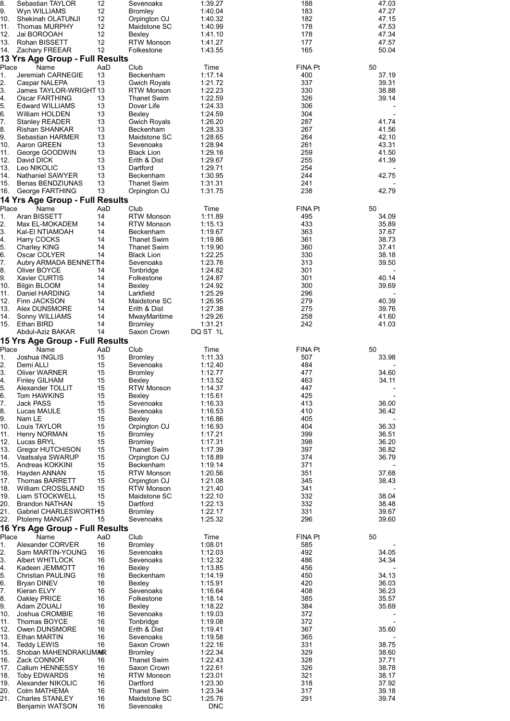| 8.<br>9.    | Sebastian TAYLOR<br>Wyn WILLIAMS               | 12<br>12  | Sevenoaks<br><b>Bromley</b>        | 1:39.27<br>1:40.04    | 188<br>183            | 47.03<br>47.27 |
|-------------|------------------------------------------------|-----------|------------------------------------|-----------------------|-----------------------|----------------|
| 10.         | Shekinah OLATUNJI                              | 12        | Orpington OJ                       | 1:40.32               | 182                   | 47.15          |
| 11.         | Thomas MURPHY                                  | 12<br>12  | Maidstone SC                       | 1:40.99               | 178                   | 47.53          |
| 12.<br>13.  | Jai BOROOAH<br>Rohan BISSETT                   | 12        | Bexley<br>RTW Monson               | 1:41.10<br>1:41.27    | 178<br>177            | 47.34<br>47.57 |
| 14.         | Zachary FREEAR                                 | 12        | Folkestone                         | 1:43.55               | 165                   | 50.04          |
|             | 13 Yrs Age Group - Full Results                | AaD       |                                    |                       |                       |                |
| Place<br>1. | Name<br>Jeremiah CARNEGIE                      | 13        | Club<br>Beckenham                  | Time<br>1:17.14       | <b>FINA Pt</b><br>400 | 50<br>37.19    |
| 2.          | Caspar NALEPA                                  | 13        | Gwich Royals                       | 1:21.72               | 337                   | 39.31          |
| 3.<br>4.    | James TAYLOR-WRIGHT 13<br>Oscar FARTHING       | 13        | <b>RTW Monson</b><br>Thanet Swim   | 1:22.23<br>1:22.59    | 330<br>326            | 38.88<br>39.14 |
| 5.          | <b>Edward WILLIAMS</b>                         | 13        | Dover Life                         | 1:24.33               | 306                   |                |
| 6.<br>7.    | William HOLDEN<br><b>Stanley READER</b>        | 13<br>13  | Bexley                             | 1:24.59               | 304<br>287            | 41.74          |
| 8.          | Rishan SHANKAR                                 | 13        | <b>Gwich Royals</b><br>Beckenham   | 1:26.20<br>1:28.33    | 267                   | 41.56          |
| 9.          | Sebastian HARMER                               | 13        | Maidstone SC                       | 1:28.65               | 264                   | 42.10          |
| 10.<br>11.  | Aaron GREEN<br>George GOODWIN                  | 13<br>13  | Sevenoaks<br><b>Black Lion</b>     | 1:28.94<br>1:29.16    | 261<br>259            | 43.31<br>41.50 |
| 12.         | David DICK                                     | 13        | Erith & Dist                       | 1:29.67               | 255                   | 41.39          |
| 13.<br>14.  | Leo NIKOLIC                                    | 13<br>13  | Dartford                           | 1:29.71               | 254<br>244            | 42.75          |
| 15.         | Nathaniel SAWYER<br><b>Benas BENDZIUNAS</b>    | 13        | Beckenham<br>Thanet Swim           | 1:30.95<br>1:31.31    | 241                   |                |
| 16.         | George FARTHING                                | 13        | Orpington OJ                       | 1:31.75               | 238                   | 42.79          |
|             | 14 Yrs Age Group - Full Results                |           |                                    |                       |                       |                |
| Place<br>1. | Name<br>Aran BISSETT                           | AaD<br>14 | Club<br><b>RTW Monson</b>          | Time<br>1:11.89       | <b>FINA Pt</b><br>495 | 50<br>34.09    |
| 2.          | Max EL-MOKADEM                                 | 14        | <b>RTW Monson</b>                  | 1:15.13               | 433                   | 35.89          |
| 3.<br>4.    | Kal-EI NTIAMOAH<br>Harry COCKS                 | 14<br>14  | Beckenham<br>Thanet Swim           | 1:19.67<br>1:19.86    | 363<br>361            | 37.67<br>38.73 |
| 5.          | Charley KING                                   | 14        | Thanet Swim                        | 1:19.90               | 360                   | 37.41          |
| 6.          | Oscar COLYER                                   | 14        | <b>Black Lion</b>                  | 1:22.25               | 330                   | 38.18          |
| 7.<br>8.    | Aubry ARMADA BENNET14<br>Oliver BOYCE          | 14        | Sevenoaks<br>Tonbridge             | 1:23.76<br>1:24.82    | 313<br>301            | 39.50          |
| 9.          | Xavier CURTIS                                  | 14        | Folkestone                         | 1:24.87               | 301                   | 40.14          |
| 10.<br>11.  | <b>Bilgin BLOOM</b><br>Daniel HARDING          | 14<br>14  | Bexley<br>Larkfield                | 1:24.92<br>1:25.29    | 300<br>296            | 39.69          |
| 12.         | Finn JACKSON                                   | 14        | Maidstone SC                       | 1:26.95               | 279                   | 40.39          |
| 13.         | Alex DUNSMORE                                  | 14        | Erith & Dist                       | 1:27.38               | 275                   | 39.76          |
| 14.<br>15.  | Sonny WILLIAMS<br>Ethan BIRD                   | 14<br>14  | MwayMaritime<br><b>Bromley</b>     | 1:29.26<br>1:31.21    | 258<br>242            | 41.60<br>41.03 |
|             | Abdul-Aziz BAKAR                               | 14        | Saxon Crown                        | DQ ST 1L              |                       |                |
|             | 15 Yrs Age Group - Full Results                |           |                                    |                       |                       |                |
| Place<br>1. | Name<br>Joshua INGLIS                          | AaD<br>15 | Club<br><b>Bromley</b>             | Time<br>1:11.33       | <b>FINA Pt</b><br>507 | 50<br>33.98    |
| 2.          | Demi ALLI                                      | 15        | Sevenoaks                          | 1:12.40               | 484                   |                |
| 3.<br>4.    | <b>Oliver WARNER</b><br><b>Finley GILHAM</b>   | 15<br>15  | <b>Bromley</b><br>Bexley           | 1:12.77<br>1:13.52    | 477<br>463            | 34.60<br>34.11 |
| 5.          | Alexander TOLLIT                               | 15        | <b>RTW Monson</b>                  | 1:14.37               | 447                   |                |
| 6.          | Tom HAWKINS                                    | 15        | Bexley                             | 1:15.61               | 425                   |                |
| 7.<br>8.    | Jack PASS<br>Lucas MAULE                       | 15<br>15  | Sevenoaks<br>Sevenoaks             | 1:16.33<br>1:16.53    | 413<br>410            | 36.00<br>36.42 |
| 9.          | Nam LE                                         | 15        | Bexley                             | 1:16.86               | 405                   |                |
| 10.<br>11.  | Louis TAYLOR<br><b>Henry NORMAN</b>            | 15<br>15  | Orpington OJ<br>Bromley            | 1:16.93<br>1:17.21    | 404<br>399            | 36.33<br>36.51 |
| 12.         | Lucas BRYL                                     | 15        | <b>Bromley</b>                     | 1:17.31               | 398                   | 36.20          |
| 13.<br>14.  | Gregor HUTCHISON<br>Vaatsalya SWARUP           | 15<br>15  | <b>Thanet Swim</b><br>Orpington OJ | 1:17.39<br>1:18.89    | 397<br>374            | 36.82<br>36.79 |
| 15.         | Andreas KOKKINI                                | 15        | Beckenham                          | 1:19.14               | 371                   |                |
| 16.         | Hayden ANNAN                                   | 15        | <b>RTW Monson</b>                  | 1:20.56               | 351                   | 37.68          |
| 17.<br>18.  | Thomas BARRETT<br>William CROSSLAND            | 15<br>15  | Orpington OJ<br><b>RTW Monson</b>  | 1:21.08<br>1:21.40    | 345<br>341            | 38.43          |
| 19.         | Liam STOCKWELL                                 | 15        | Maidstone SC                       | 1:22.10               | 332                   | 38.04          |
| 20.<br>21.  | <b>Brandon NATHAN</b><br>Gabriel CHARLESWORTH5 | 15        | Dartford<br><b>Bromley</b>         | 1:22.13<br>1:22.17    | 332<br>331            | 38.48<br>39.67 |
| 22.         | Ptolemy MANGAT                                 | 15        | Sevenoaks                          | 1:25.32               | 296                   | 39.60          |
|             | 16 Yrs Age Group - Full Results                |           |                                    |                       |                       |                |
| Place<br>1. | Name<br>Alexander CORVER                       | AaD<br>16 | Club<br><b>Bromley</b>             | Time<br>1:08.01       | <b>FINA Pt</b><br>585 | 50             |
| 2.          | Sam MARTIN-YOUNG                               | 16        | Sevenoaks                          | 1:12.03               | 492                   | 34.05          |
| 3.          | Albert WHITLOCK                                | 16        | Sevenoaks                          | 1:12.32               | 486                   | 34.34          |
| 4.<br>5.    | Kadeen JEMMOTT<br>Christian PAULING            | 16<br>16  | Bexley<br>Beckenham                | 1:13.85<br>1:14.19    | 456<br>450            | 34.13          |
| 6.          | Bryan DINEV                                    | 16        | Bexley                             | 1:15.91               | 420                   | 36.03          |
| 7.<br>8.    | Kieran ELVY<br>Oakley PRICE                    | 16<br>16  | Sevenoaks<br>Folkestone            | 1:16.64<br>1:18.14    | 408<br>385            | 36.23<br>35.57 |
| 9.          | Adam ZOUALI                                    | 16        | Bexley                             | 1:18.22               | 384                   | 35.69          |
| 10.         | Joshua CROMBIE                                 | 16<br>16  | Sevenoaks                          | 1:19.03               | 372<br>372            |                |
| 11.<br>12.  | Thomas BOYCE<br>Owen DUNSMORE                  | 16        | Tonbridge<br>Erith & Dist          | 1:19.08<br>1:19.41    | 367                   | 35.60          |
| 13.         | Ethan MARTIN                                   | 16        | Sevenoaks                          | 1:19.58               | 365                   |                |
| 14.<br>15.  | Teddy LEWIS<br>Shoban MAHENDRAKUMAR            | 16        | Saxon Crown<br><b>Bromley</b>      | 1:22.16<br>1:22.34    | 331<br>329            | 38.75<br>38.60 |
| 16.         | Zack CONNOR                                    | 16        | <b>Thanet Swim</b>                 | 1:22.43               | 328                   | 37.71          |
| 17.         | Callum HENNESSY                                | 16<br>16  | Saxon Crown                        | 1:22.61               | 326<br>321            | 38.78          |
| 18.<br>19.  | <b>Toby EDWARDS</b><br>Alexander NIKOLIC       | 16        | <b>RTW Monson</b><br>Dartford      | 1:23.01<br>1:23.30    | 318                   | 38.17<br>37.92 |
| 20.         | Colm MATHEMA                                   | 16        | Thanet Swim                        | 1:23.34               | 317                   | 39.18          |
| 21.         | <b>Charles STANLEY</b><br>Benjamin WATSON      | 16<br>16  | Maidstone SC<br>Sevenoaks          | 1:25.76<br><b>DNC</b> | 291                   | 39.74          |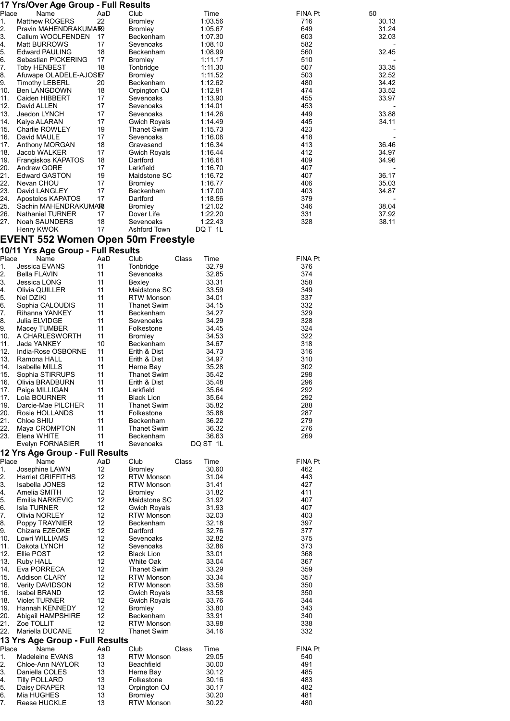|             | 17 Yrs/Over Age Group - Full Results         |           |                                        |                        |                       |                |
|-------------|----------------------------------------------|-----------|----------------------------------------|------------------------|-----------------------|----------------|
| Place<br>1. | Name<br><b>Matthew ROGERS</b>                | AaD<br>22 | Club<br><b>Bromley</b>                 | Time<br>1:03.56        | <b>FINA Pt</b><br>716 | 50<br>30.13    |
| 2.          | Pravin MAHENDRAKUMAR9                        |           | <b>Bromley</b>                         | 1:05.67                | 649                   | 31.24          |
| 3.          | Callum WOOLFENDEN                            | 17        | Beckenham                              | 1:07.30                | 603                   | 32.03          |
| 4.          | Matt BURROWS<br><b>Edward PAULING</b>        | 17<br>18  | Sevenoaks<br>Beckenham                 | 1:08.10                | 582<br>560            |                |
| 5.<br>6.    | Sebastian PICKERING                          | 17        | Bromley                                | 1:08.99<br>1:11.17     | 510                   | 32.45          |
| 7.          | Toby HENBEST                                 | 18        | Tonbridge                              | 1:11.30                | 507                   | 33.35          |
| 8.          | Afuwape OLADELE-AJOSE7                       |           | <b>Bromley</b>                         | 1:11.52                | 503                   | 32.52          |
| 9.<br>10.   | <b>Timothy LEBERL</b><br><b>Ben LANGDOWN</b> | 20<br>18  | Beckenham<br>Orpington OJ              | 1:12.62<br>1:12.91     | 480<br>474            | 34.42<br>33.52 |
| 11.         | Caiden HIBBERT                               | 17        | Sevenoaks                              | 1:13.90                | 455                   | 33.97          |
| 12.         | David ALLEN                                  | 17        | Sevenoaks                              | 1:14.01                | 453                   |                |
| 13.         | Jaedon LYNCH                                 | 17        | Sevenoaks                              | 1:14.26                | 449<br>445            | 33.88          |
| 14.<br>15.  | Kaiye ALARAN<br>Charlie ROWLEY               | 17<br>19  | Gwich Royals<br><b>Thanet Swim</b>     | 1:14.49<br>1:15.73     | 423                   | 34.11          |
| 16.         | David MAULE                                  | 17        | Sevenoaks                              | 1:16.06                | 418                   |                |
| 17.         | Anthony MORGAN                               | 18        | Gravesend                              | 1:16.34                | 413                   | 36.46          |
| 18.<br>19.  | Jacob WALKER<br>Frangiskos KAPATOS           | 17<br>18  | Gwich Royals<br>Dartford               | 1:16.44<br>1:16.61     | 412<br>409            | 34.97<br>34.96 |
| 20.         | Andrew GORE                                  | 17        | Larkfield                              | 1:16.70                | 407                   |                |
| 21.         | <b>Edward GASTON</b>                         | 19        | Maidstone SC                           | 1:16.72                | 407                   | 36.17          |
| 22.         | Nevan CHOU                                   | 17        | <b>Bromley</b>                         | 1:16.77                | 406                   | 35.03          |
| 23.<br>24.  | David LANGLEY<br>Apostolos KAPATOS           | 17<br>17  | Beckenham<br>Dartford                  | 1:17.00<br>1:18.56     | 403<br>379            | 34.87          |
| 25.         | Sachin MAHENDRAKUMAR                         |           | <b>Bromley</b>                         | 1:21.02                | 346                   | 38.04          |
| 26.         | <b>Nathaniel TURNER</b>                      | 17        | Dover Life                             | 1:22.20                | 331                   | 37.92          |
| 27.         | Noah SAUNDERS                                | 18        | Sevenoaks                              | 1:22.43                | 328                   | 38.11          |
|             | Henry KWOK                                   | 17        | Ashford Town                           | DQ T 1L                |                       |                |
|             | <b>EVENT 552 Women Open 50m Freestyle</b>    |           |                                        |                        |                       |                |
| Place       | 10/11 Yrs Age Group - Full Results<br>Name   | AaD       | Club                                   | Class<br>Time          | <b>FINA Pt</b>        |                |
| 1.          | Jessica EVANS                                | 11        | Tonbridge                              | 32.79                  | 376                   |                |
| 2.          | Bella FLAVIN                                 | 11        | Sevenoaks                              | 32.85                  | 374                   |                |
| 3.          | Jessica LONG                                 | 11<br>11  | Bexley                                 | 33.31<br>33.59         | 358<br>349            |                |
| 4.<br>5.    | Olivia QUILLER<br>Nel DZIKI                  | 11        | Maidstone SC<br><b>RTW Monson</b>      | 34.01                  | 337                   |                |
| 6.          | Sophia CALOUDIS                              | 11        | <b>Thanet Swim</b>                     | 34.15                  | 332                   |                |
| 7.          | Rihanna YANKEY                               | 11        | Beckenham                              | 34.27                  | 329                   |                |
| 8.<br>9.    | Julia ELVIDGE<br>Macey TUMBER                | 11<br>11  | Sevenoaks<br>Folkestone                | 34.29<br>34.45         | 328<br>324            |                |
| 10.         | A CHARLESWORTH                               | 11        | <b>Bromley</b>                         | 34.53                  | 322                   |                |
| 11.         | Jada YANKEY                                  | 10        | Beckenham                              | 34.67                  | 318                   |                |
| 12.         | India-Rose OSBORNE                           | 11        | Erith & Dist                           | 34.73                  | 316                   |                |
| 13.<br>14.  | Ramona HALL<br><b>Isabelle MILLS</b>         | 11<br>11  | Erith & Dist<br>Herne Bay              | 34.97<br>35.28         | 310<br>302            |                |
| 15.         | Sophia STIRRUPS                              | 11        | <b>Thanet Swim</b>                     | 35.42                  | 298                   |                |
| 16.         | Olivia BRADBURN                              | 11        | Erith & Dist                           | 35.48                  | 296                   |                |
| 17.<br>17.  | Paige MILLIGAN<br>Lola BOURNER               | 11<br>11  | Larkfield<br><b>Black Lion</b>         | 35.64<br>35.64         | 292<br>292            |                |
| 19.         | Darcie-Mae PILCHER                           | 11        | Thanet Swim                            | 35.82                  | 288                   |                |
| 20.         | Rosie HOLLANDS                               | 11        | Folkestone                             | 35.88                  | 287                   |                |
| 21.         | Chloe SHIU                                   | 11        | Beckenham                              | 36.22                  | 279                   |                |
| 22.         | Maya CROMPTON<br>23. Elena WHITE             | 11<br>11  | Thanet Swim<br>Beckenham               | 36.32<br>36.63         | 276<br>269            |                |
|             | Evelyn FORNASIER                             | 11        | Sevenoaks                              | DQ ST 1L               |                       |                |
|             | 12 Yrs Age Group - Full Results              |           |                                        |                        |                       |                |
| Place       | Name                                         | AaD       | Club                                   | Class<br>Time          | <b>FINA Pt</b>        |                |
| 1.<br>2.    | Josephine LAWN<br><b>Harriet GRIFFITHS</b>   | 12<br>12  | <b>Bromley</b><br><b>RTW Monson</b>    | 30.60<br>31.04         | 462<br>443            |                |
| 3.          | Isabella JONES                               | 12        | <b>RTW Monson</b>                      | 31.41                  | 427                   |                |
| 4.          | Amelia SMITH                                 | 12        | <b>Bromley</b>                         | 31.82                  | 411                   |                |
| 5.<br>6.    | Emilia NARKEVIC<br><b>Isla TURNER</b>        | 12<br>12  | Maidstone SC<br><b>Gwich Royals</b>    | 31.92<br>31.93         | 407<br>407            |                |
| 7.          | Olivia NORLEY                                | 12        | <b>RTW Monson</b>                      | 32.03                  | 403                   |                |
| 8.          | Poppy TRAYNIER                               | 12        | Beckenham                              | 32.18                  | 397                   |                |
| 9.          | Chizara EZEOKE                               | 12        | Dartford                               | 32.76                  | 377                   |                |
| 10.<br>11.  | Lowri WILLIAMS<br>Dakota LYNCH               | 12<br>12  | Sevenoaks<br>Sevenoaks                 | 32.82<br>32.86         | 375<br>373            |                |
| 12.         | Ellie POST                                   | 12        | <b>Black Lion</b>                      | 33.01                  | 368                   |                |
| 13.         | Ruby HALL                                    | 12        | White Oak                              | 33.04                  | 367                   |                |
| 14.         | Eva PORRECA                                  | 12        | <b>Thanet Swim</b>                     | 33.29                  | 359                   |                |
| 15.<br>16.  | <b>Addison CLARY</b><br>Verity DAVIDSON      | 12<br>12  | <b>RTW Monson</b><br><b>RTW Monson</b> | 33.34<br>33.58         | 357<br>350            |                |
| 16.         | Isabel BRAND                                 | 12        | <b>Gwich Royals</b>                    | 33.58                  | 350                   |                |
| 18.         | <b>Violet TURNER</b>                         | 12        | <b>Gwich Royals</b>                    | 33.76                  | 344                   |                |
| 19.<br>20.  | Hannah KENNEDY<br>Abigail HAMPSHIRE          | 12<br>12  | <b>Bromley</b><br>Beckenham            | 33.80<br>33.91         | 343<br>340            |                |
| 21.         | Zoe TOLLIT                                   | 12        | <b>RTW Monson</b>                      | 33.98                  | 338                   |                |
| 22.         | Mariella DUCANE                              | 12        | Thanet Swim                            | 34.16                  | 332                   |                |
|             | 13 Yrs Age Group - Full Results              |           |                                        |                        |                       |                |
| Place<br>1. | Name<br>Madeleine EVANS                      | AaD<br>13 | Club<br><b>RTW Monson</b>              | Class<br>Time<br>29.05 | <b>FINA Pt</b><br>540 |                |
| 2.          | Chloe-Ann NAYLOR                             | 13        | Beachfield                             | 30.00                  | 491                   |                |
| 3.          | Daniella COLES                               | 13        | Herne Bay                              | 30.12                  | 485                   |                |
| 4.<br>5.    | <b>Tilly POLLARD</b><br>Daisy DRAPER         | 13<br>13  | Folkestone<br>Orpington OJ             | 30.16<br>30.17         | 483<br>482            |                |
| 6.          | Mia HUGHES                                   | 13        | <b>Bromley</b>                         | 30.20                  | 481                   |                |

7. Reese HUCKLE 13 RTW Monson 30.22 480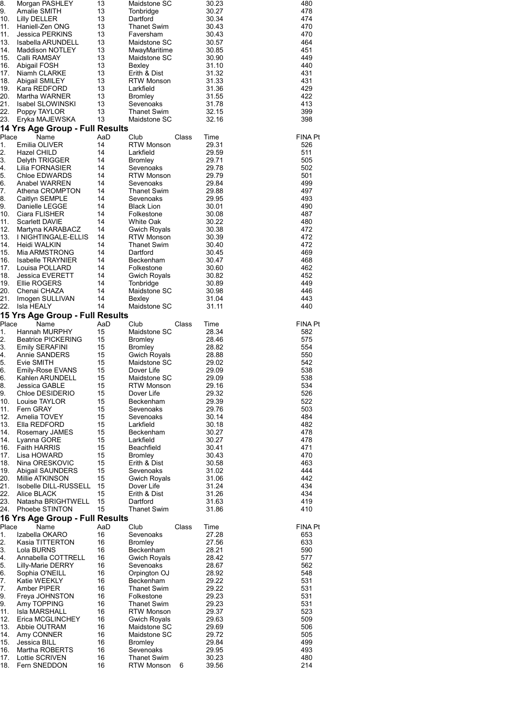| 8.         | Morgan PASHLEY                                | 13       | Maidstone SC                             |       | 30.23          | 480            |
|------------|-----------------------------------------------|----------|------------------------------------------|-------|----------------|----------------|
| 9.<br>10.  | Amalie SMITH<br>Lilly DELLER                  | 13<br>13 | Tonbridge<br>Dartford                    |       | 30.27<br>30.34 | 478<br>474     |
| 11.        | Haniell-Zen ONG                               | 13       | Thanet Swim                              |       | 30.43          | 470            |
| 11.        | Jessica PERKINS                               | 13       | Faversham                                |       | 30.43          | 470            |
| 13.<br>14. | Isabella ARUNDELL<br><b>Maddison NOTLEY</b>   | 13<br>13 | Maidstone SC<br>MwayMaritime             |       | 30.57<br>30.85 | 464<br>451     |
| 15.        | Calli RAMSAY                                  | 13       | Maidstone SC                             |       | 30.90          | 449            |
| 16.        | Abigail FOSH                                  | 13       | Bexley                                   |       | 31.10          | 440            |
| 17.<br>18. | Niamh CLARKE<br>Abigail SMILEY                | 13<br>13 | Erith & Dist<br><b>RTW Monson</b>        |       | 31.32<br>31.33 | 431<br>431     |
| 19.        | Kara REDFORD                                  | 13       | Larkfield                                |       | 31.36          | 429            |
| 20.        | Martha WARNER                                 | 13       | <b>Bromley</b>                           |       | 31.55          | 422            |
| 21.        | Isabel SLOWINSKI                              | 13       | Sevenoaks                                |       | 31.78          | 413            |
| 22.<br>23. | Poppy TAYLOR<br>Eryka MAJEWSKA                | 13<br>13 | Thanet Swim<br>Maidstone SC              |       | 32.15<br>32.16 | 399<br>398     |
|            | 14 Yrs Age Group - Full Results               |          |                                          |       |                |                |
| Place      | Name                                          | AaD      | Club                                     | Class | Time           | <b>FINA Pt</b> |
| 1.         | Emilia OLIVER                                 | 14       | <b>RTW Monson</b>                        |       | 29.31          | 526            |
| 2.<br>3.   | Hazel CHILD<br>Delyth TRIGGER                 | 14<br>14 | Larkfield<br>Bromley                     |       | 29.59<br>29.71 | 511<br>505     |
| 4.         | Lilia FORNASIER                               | 14       | Sevenoaks                                |       | 29.78          | 502            |
| 5.         | Chloe EDWARDS                                 | 14       | <b>RTW Monson</b>                        |       | 29.79          | 501            |
| 6.         | Anabel WARREN                                 | 14       | Sevenoaks<br><b>Thanet Swim</b>          |       | 29.84          | 499            |
| 7.<br>8.   | Athena CROMPTON<br>Caitlyn SEMPLE             | 14<br>14 | Sevenoaks                                |       | 29.88<br>29.95 | 497<br>493     |
| 9.         | Danielle LEGGE                                | 14       | <b>Black Lion</b>                        |       | 30.01          | 490            |
| 10.        | Ciara FLISHER                                 | 14       | Folkestone                               |       | 30.08          | 487            |
| 11.        | Scarlett DAVIE                                | 14       | White Oak                                |       | 30.22          | 480            |
| 12.<br>13. | Martyna KARABACZ<br>I NIGHTINGALE-ELLIS       | 14<br>14 | <b>Gwich Royals</b><br><b>RTW Monson</b> |       | 30.38<br>30.39 | 472<br>472     |
| 14.        | Heidi WALKIN                                  | 14       | <b>Thanet Swim</b>                       |       | 30.40          | 472            |
| 15.        | Mia ARMSTRONG                                 | 14       | Dartford                                 |       | 30.45          | 469            |
| 16.        | Isabelle TRAYNIER                             | 14       | Beckenham                                |       | 30.47          | 468            |
| 17.<br>18. | Louisa POLLARD<br>Jessica EVERETT             | 14<br>14 | Folkestone<br>Gwich Royals               |       | 30.60<br>30.82 | 462<br>452     |
| 19.        | Ellie ROGERS                                  | 14       | Tonbridge                                |       | 30.89          | 449            |
| 20.        | Chenai CHAZA                                  | 14       | Maidstone SC                             |       | 30.98          | 446            |
| 21.        | Imogen SULLIVAN                               | 14       | Bexley                                   |       | 31.04          | 443            |
| 22.        | Isla HEALY<br>15 Yrs Age Group - Full Results | 14       | Maidstone SC                             |       | 31.11          | 440            |
| Place      | Name                                          | AaD      | Club                                     | Class | Time           | <b>FINA Pt</b> |
| 1.         | Hannah MURPHY                                 | 15       | Maidstone SC                             |       | 28.34          | 582            |
| 2.         | <b>Beatrice PICKERING</b>                     | 15       | <b>Bromley</b>                           |       | 28.46          | 575            |
| 3.<br>4.   | Emily SERAFINI<br>Annie SANDERS               | 15<br>15 | Bromley<br><b>Gwich Royals</b>           |       | 28.82<br>28.88 | 554<br>550     |
| 5.         | Evie SMITH                                    | 15       | Maidstone SC                             |       | 29.02          | 542            |
| 6.         | Emily-Rose EVANS                              | 15       | Dover Life                               |       | 29.09          | 538            |
| 6.         | Kahlen ARUNDELL                               | 15       | Maidstone SC                             |       | 29.09          | 538            |
| 8.<br>9.   | Jessica GABLE<br>Chloe DESIDERIO              | 15<br>15 | <b>RTW Monson</b><br>Dover Life          |       | 29.16<br>29.32 | 534<br>526     |
| 10.        | Louise TAYLOR                                 | 15       | Beckenham                                |       | 29.39          | 522            |
| 11.        | Fern GRAY                                     | 15       | Sevenoaks                                |       | 29.76          | 503            |
| 12.        | Amelia TOVEY                                  | 15       | Sevenoaks                                |       | 30.14          | 484            |
| 13.<br>14. | Ella REDFORD<br>Rosemary JAMES                | 15<br>15 | Larkfield<br>Beckenham                   |       | 30.18<br>30.27 | 482<br>478     |
| 14.        | Lyanna GORE                                   | 15       | Larkfield                                |       | 30.27          | 478            |
| 16.        | <b>Faith HARRIS</b>                           | 15       | Beachfield                               |       | 30.41          | 471            |
| 17.        | Lisa HOWARD                                   | 15       | <b>Bromley</b>                           |       | 30.43          | 470            |
| 18.<br>19. | Nina ORESKOVIC<br>Abigail SAUNDERS            | 15<br>15 | Erith & Dist<br>Sevenoaks                |       | 30.58<br>31.02 | 463<br>444     |
| 20.        | Millie ATKINSON                               | 15       | <b>Gwich Royals</b>                      |       | 31.06          | 442            |
| 21.        | Isobelle DILL-RUSSELL                         | 15       | Dover Life                               |       | 31.24          | 434            |
| 22.        | Alice BLACK                                   | 15       | Erith & Dist                             |       | 31.26          | 434            |
| 23.<br>24. | Natasha BRIGHTWELL<br>Phoebe STINTON          | 15<br>15 | Dartford<br>Thanet Swim                  |       | 31.63<br>31.86 | 419<br>410     |
|            | 16 Yrs Age Group - Full Results               |          |                                          |       |                |                |
| Place      | Name                                          | AaD      | Club                                     | Class | Time           | <b>FINA Pt</b> |
| 1.         | Izabella OKARO                                | 16       | Sevenoaks                                |       | 27.28          | 653            |
| 2.<br>3.   | Kasia TITTERTON<br>Lola BURNS                 | 16<br>16 | <b>Bromley</b><br>Beckenham              |       | 27.56<br>28.21 | 633<br>590     |
| 4.         | Annabella COTTRELL                            | 16       | Gwich Royals                             |       | 28.42          | 577            |
| 5.         | <b>Lilly-Marie DERRY</b>                      | 16       | Sevenoaks                                |       | 28.67          | 562            |
| 6.         | Sophia O'NEILL                                | 16       | Orpington OJ                             |       | 28.92          | 548            |
| 7.<br>7.   | Katie WEEKLY<br>Amber PIPER                   | 16<br>16 | Beckenham<br>Thanet Swim                 |       | 29.22<br>29.22 | 531<br>531     |
| 9.         | Freya JOHNSTON                                | 16       | Folkestone                               |       | 29.23          | 531            |
| 9.         | Amy TOPPING                                   | 16       | <b>Thanet Swim</b>                       |       | 29.23          | 531            |
| 11.        | Isla MARSHALL                                 | 16       | <b>RTW Monson</b>                        |       | 29.37          | 523            |
| 12.<br>13. | Erica MCGLINCHEY<br>Abbie OUTRAM              | 16<br>16 | Gwich Royals<br>Maidstone SC             |       | 29.63<br>29.69 | 509<br>506     |
| 14.        | Amy CONNER                                    | 16       | Maidstone SC                             |       | 29.72          | 505            |
| 15.        | Jessica BILL                                  | 16       | <b>Bromley</b>                           |       | 29.84          | 499            |
| 16.        | Martha ROBERTS                                | 16       | Sevenoaks                                |       | 29.95          | 493            |
|            |                                               |          |                                          |       |                |                |
| 17.<br>18. | Lottie SCRIVEN<br>Fern SNEDDON                | 16<br>16 | <b>Thanet Swim</b><br><b>RTW Monson</b>  | 6     | 30.23<br>39.56 | 480<br>214     |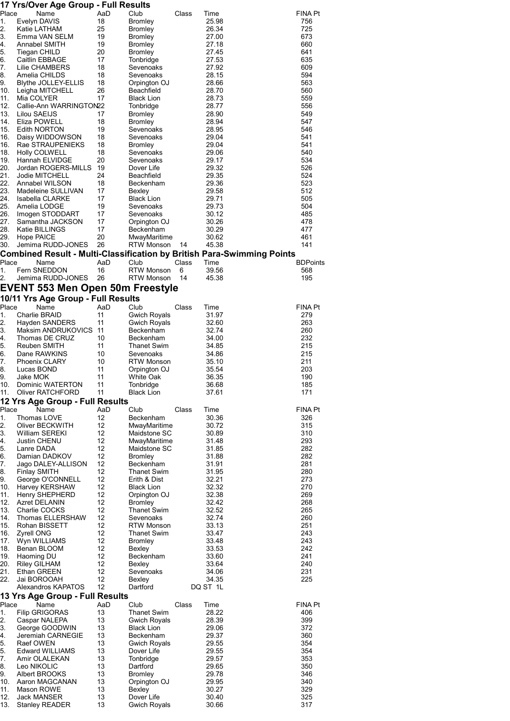| Place      | Name                                                                                        | AaD      | Club                                 | Class | Time           | <b>FINA Pt</b>  |
|------------|---------------------------------------------------------------------------------------------|----------|--------------------------------------|-------|----------------|-----------------|
| 1.<br>2.   | Evelyn DAVIS<br>Katie LATHAM                                                                | 18<br>25 | <b>Bromley</b><br><b>Bromley</b>     |       | 25.98<br>26.34 | 756<br>725      |
| 3.         | Emma VAN SELM                                                                               | 19       | <b>Bromley</b>                       |       | 27.00          | 673             |
| 4.         | Annabel SMITH                                                                               | 19       | Bromley                              |       | 27.18          | 660             |
| 5.         | Tiegan CHILD                                                                                | 20       | <b>Bromley</b>                       |       | 27.45          | 641             |
| 6.         | Caitlin EBBAGE                                                                              | 17       | Tonbridge                            |       | 27.53          | 635             |
| 7.<br>8.   | Lilie CHAMBERS<br>Amelia CHILDS                                                             | 18<br>18 | Sevenoaks<br>Sevenoaks               |       | 27.92<br>28.15 | 609<br>594      |
| 9.         | Blythe JOLLEY-ELLIS                                                                         | 18       | Orpington OJ                         |       | 28.66          | 563             |
| 10.        | Leigha MITCHELL                                                                             | 26       | Beachfield                           |       | 28.70          | 560             |
| 11.        | Mia COLYER                                                                                  | 17       | <b>Black Lion</b>                    |       | 28.73          | 559             |
| 12.        | Callie-Ann WARRINGTON22                                                                     |          | Tonbridge                            |       | 28.77          | 556             |
| 13.<br>14. | Lilou SAEIJS<br>Eliza POWELL                                                                | 17<br>18 | Bromley<br>Bromley                   |       | 28.90<br>28.94 | 549<br>547      |
| 15.        | Edith NORTON                                                                                | 19       | Sevenoaks                            |       | 28.95          | 546             |
| 16.        | Daisy WIDDOWSON                                                                             | 18       | Sevenoaks                            |       | 29.04          | 541             |
| 16.        | Rae STRAUPENIEKS                                                                            | 18       | Bromley                              |       | 29.04          | 541             |
| 18.        | <b>Holly COLWELL</b>                                                                        | 18       | Sevenoaks                            |       | 29.06          | 540             |
| 19.<br>20. | Hannah ELVIDGE<br>Jordan ROGERS-MILLS                                                       | 20<br>19 | Sevenoaks<br>Dover Life              |       | 29.17<br>29.32 | 534<br>526      |
| 21.        | Jodie MITCHELL                                                                              | 24       | Beachfield                           |       | 29.35          | 524             |
| 22.        | Annabel WILSON                                                                              | 18       | Beckenham                            |       | 29.36          | 523             |
| 23.        | Madeleine SULLIVAN                                                                          | 17       | Bexley                               |       | 29.58          | 512             |
| 24.<br>25. | Isabella CLARKE<br>Amelia LODGE                                                             | 17<br>19 | <b>Black Lion</b><br>Sevenoaks       |       | 29.71<br>29.73 | 505<br>504      |
| 26.        | Imogen STODDART                                                                             | 17       | Sevenoaks                            |       | 30.12          | 485             |
| 27.        | Samantha JACKSON                                                                            | 17       | Orpington OJ                         |       | 30.26          | 478             |
| 28.        | Katie BILLINGS                                                                              | 17       | Beckenham                            |       | 30.29          | 477             |
| 29.        | Hope PAICE                                                                                  | 20       | MwayMaritime                         |       | 30.62          | 461             |
| 30.        | Jemima RUDD-JONES<br>Combined Result - Multi-Classification by British Para-Swimming Points | 26       | <b>RTW Monson</b>                    | 14    | 45.38          | 141             |
| Place      | Name                                                                                        | AaD      | Club                                 | Class | Time           | <b>BDPoints</b> |
| 1.         | Fern SNEDDON                                                                                | 16       | <b>RTW Monson</b>                    | 6     | 39.56          | 568             |
| 2.         | Jemima RUDD-JONES                                                                           | 26       | <b>RTW Monson</b>                    | 14    | 45.38          | 195             |
|            | <b>EVENT 553 Men Open 50m Freestyle</b>                                                     |          |                                      |       |                |                 |
|            | 10/11 Yrs Age Group - Full Results                                                          |          |                                      |       |                |                 |
| Place      | Name                                                                                        | AaD      | Club                                 | Class | Time           | FINA Pt         |
| 1.<br>2.   | Charlie BRAID                                                                               | 11<br>11 | <b>Gwich Royals</b>                  |       | 31.97          | 279             |
| 3.         | Hayden SANDERS<br>Maksim ANDRUKOVICS                                                        | 11       | Gwich Royals<br>Beckenham            |       | 32.60<br>32.74 | 263<br>260      |
| 4.         | Thomas DE CRUZ                                                                              | 10       | Beckenham                            |       | 34.00          | 232             |
| 5.         | Reuben SMITH                                                                                | 11       | Thanet Swim                          |       | 34.85          | 215             |
| 6.         | Dane RAWKINS                                                                                | 10       | Sevenoaks                            |       | 34.86          | 215             |
| 7.<br>8.   | <b>Phoenix CLARY</b><br>Lucas BOND                                                          | 10<br>11 | <b>RTW Monson</b><br>Orpington OJ    |       | 35.10<br>35.54 | 211<br>203      |
| 9.         | Jake MOK                                                                                    | 11       | White Oak                            |       | 36.35          | 190             |
| 10.        | Dominic WATERTON                                                                            | 11       | Tonbridge                            |       | 36.68          | 185             |
| 11.        | Oliver RATCHFORD                                                                            | 11       | <b>Black Lion</b>                    |       | 37.61          | 171             |
| Place      | 12 Yrs Age Group - Full Results<br>Name                                                     | AaD      | Club                                 | Class | Time           | FINA Pt         |
| 1.         | Thomas LOVE                                                                                 | 12       | Beckenham                            |       | 30.36          | 326             |
| 2.         | Oliver BECKWITH                                                                             | 12       | MwayMaritime                         |       | 30.72          | 315             |
| 3.         | William SEREKI                                                                              | 12       | Maidstone SC                         |       | 30.89          | 310             |
| 4.         | <b>Justin CHENU</b>                                                                         | 12       | MwayMaritime                         |       | 31.48          | 293             |
| 5.<br>6.   | Lanre DADA<br>Damian DADKOV                                                                 | 12<br>12 | Maidstone SC<br><b>Bromley</b>       |       | 31.85<br>31.88 | 282<br>282      |
| 7.         | Jago DALEY-ALLISON                                                                          | 12       | Beckenham                            |       | 31.91          | 281             |
| 8.         | <b>Finlay SMITH</b>                                                                         | 12       | Thanet Swim                          |       | 31.95          | 280             |
| 9.         | George O'CONNELL                                                                            | 12       | Erith & Dist                         |       | 32.21          | 273             |
| 10.        | Harvey KERSHAW                                                                              | 12       | <b>Black Lion</b>                    |       | 32.32          | 270             |
| 11.<br>12. | Henry SHEPHERD<br><b>Azret DELANIN</b>                                                      | 12<br>12 | Orpington OJ<br><b>Bromley</b>       |       | 32.38<br>32.42 | 269<br>268      |
| 13.        | Charlie COCKS                                                                               | 12       | Thanet Swim                          |       | 32.52          | 265             |
| 14.        | Thomas ELLERSHAW                                                                            | 12       | Sevenoaks                            |       | 32.74          | 260             |
| 15.        | Rohan BISSETT                                                                               | 12       | <b>RTW Monson</b>                    |       | 33.13          | 251             |
| 16.<br>17. | Zyrell ONG<br>Wyn WILLIAMS                                                                  | 12<br>12 | <b>Thanet Swim</b><br><b>Bromley</b> |       | 33.47<br>33.48 | 243<br>243      |
| 18.        | Benan BLOOM                                                                                 | 12       | Bexley                               |       | 33.53          | 242             |
| 19.        | Haoming DU                                                                                  | 12       | Beckenham                            |       | 33.60          | 241             |
| 20.        | <b>Riley GILHAM</b>                                                                         | 12       | Bexley                               |       | 33.64          | 240             |
| 21.<br>22. | Ethan GREEN                                                                                 | 12<br>12 | Sevenoaks                            |       | 34.06<br>34.35 | 231<br>225      |
|            | Jai BOROOAH<br>Alexandros KAPATOS                                                           | 12       | Bexley<br>Dartford                   |       | DQ ST 1L       |                 |
|            | 13 Yrs Age Group - Full Results                                                             |          |                                      |       |                |                 |
| Place      | Name                                                                                        | AaD      | Club                                 | Class | Time           | <b>FINA Pt</b>  |
| 1.         | <b>Filip GRIGORAS</b>                                                                       | 13<br>13 | Thanet Swim                          |       | 28.22          | 406             |
| 2.<br>3.   | Caspar NALEPA<br>George GOODWIN                                                             | 13       | Gwich Royals<br><b>Black Lion</b>    |       | 28.39<br>29.06 | 399<br>372      |
| 4.         | Jeremiah CARNEGIE                                                                           | 13       | Beckenham                            |       | 29.37          | 360             |
| 5.         | Raef OWEN                                                                                   | 13       | Gwich Royals                         |       | 29.55          | 354             |
| 5.         | <b>Edward WILLIAMS</b>                                                                      | 13       | Dover Life                           |       | 29.55          | 354             |
| 7.         | Amir OLALEKAN                                                                               | 13       | Tonbridge                            |       | 29.57          | 353             |
| 8.<br>9.   | Leo NIKOLIC<br>Albert BROOKS                                                                | 13<br>13 | Dartford<br><b>Bromley</b>           |       | 29.65<br>29.78 | 350<br>346      |
| 10.        | Aaron MAGCANAN                                                                              | 13       | Orpington OJ                         |       | 29.95          | 340             |
| 11.        |                                                                                             |          |                                      |       |                |                 |
|            | Mason ROWE                                                                                  | 13       | Bexley                               |       | 30.27          | 329             |
| 12.<br>13. | Jack MANSER<br><b>Stanley READER</b>                                                        | 13<br>13 | Dover Life<br><b>Gwich Royals</b>    |       | 30.40<br>30.66 | 325<br>317      |

17 Yrs/Over Age Group - Full Results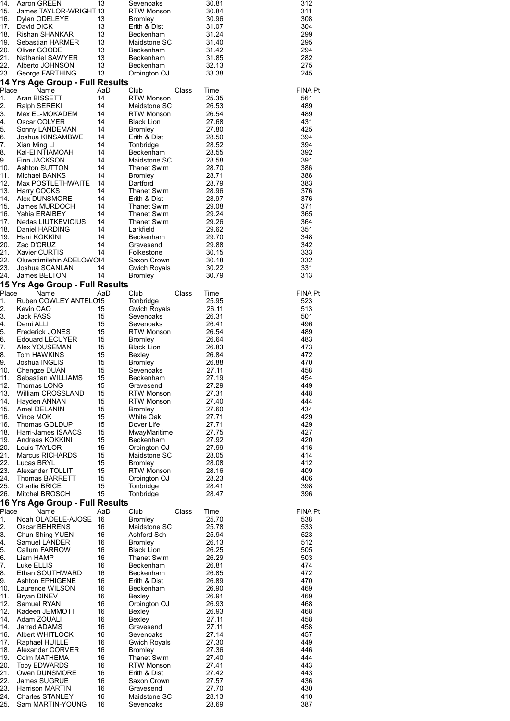| 14.<br>15.  | Aaron GREEN<br>James TAYLOR-WRIGHT 13      | 13        | Sevenoaks<br>RTW Monson                  |       | 30.81<br>30.84 | 312<br>311     |
|-------------|--------------------------------------------|-----------|------------------------------------------|-------|----------------|----------------|
| 16.         | Dylan ODELEYE                              | 13        | <b>Bromley</b>                           |       | 30.96          | 308            |
| 17.         | David DICK                                 | 13        | Erith & Dist                             |       | 31.07          | 304            |
| 18.         | Rishan SHANKAR                             | 13        | Beckenham                                |       | 31.24          | 299            |
| 19.<br>20.  | Sebastian HARMER<br>Oliver GOODE           | 13<br>13  | Maidstone SC<br>Beckenham                |       | 31.40<br>31.42 | 295<br>294     |
| 21.         | <b>Nathaniel SAWYER</b>                    | 13        | Beckenham                                |       | 31.85          | 282            |
| 22.         | Alberto JOHNSON                            | 13        | Beckenham                                |       | 32.13          | 275            |
| 23.         | George FARTHING                            | 13        | Orpington OJ                             |       | 33.38          | 245            |
|             | 14 Yrs Age Group - Full Results            |           |                                          |       |                |                |
| Place<br>1. | Name<br>Aran BISSETT                       | AaD<br>14 | Club<br>RTW Monson                       | Class | Time<br>25.35  | FINA Pt<br>561 |
| 2.          | Ralph SEREKI                               | 14        | Maidstone SC                             |       | 26.53          | 489            |
| 3.          | Max EL-MOKADEM                             | 14        | <b>RTW Monson</b>                        |       | 26.54          | 489            |
| 4.          | Oscar COLYER                               | 14        | <b>Black Lion</b>                        |       | 27.68          | 431            |
| 5.<br>6.    | Sonny LANDEMAN<br>Joshua KINSAMBWE         | 14<br>14  | Bromley<br>Erith & Dist                  |       | 27.80<br>28.50 | 425<br>394     |
| 7.          | Xian Ming Ll                               | 14        | Tonbridge                                |       | 28.52          | 394            |
| 8.          | Kal-EI NTIAMOAH                            | 14        | Beckenham                                |       | 28.55          | 392            |
| 9.          | Finn JACKSON                               | 14        | Maidstone SC                             |       | 28.58          | 391            |
| 10.<br>11.  | Ashton SUTTON<br>Michael BANKS             | 14<br>14  | Thanet Swim                              |       | 28.70<br>28.71 | 386            |
| 12.         | Max POSTLETHWAITE                          | 14        | <b>Bromley</b><br>Dartford               |       | 28.79          | 386<br>383     |
| 13.         | Harry COCKS                                | 14        | Thanet Swim                              |       | 28.96          | 376            |
| 14.         | Alex DUNSMORE                              | 14        | Erith & Dist                             |       | 28.97          | 376            |
| 15.         | James MURDOCH                              | 14        | Thanet Swim                              |       | 29.08          | 371            |
| 16.<br>17.  | Yahia ERAIBEY<br>Nedas LIUTKEVICIUS        | 14<br>14  | <b>Thanet Swim</b><br><b>Thanet Swim</b> |       | 29.24<br>29.26 | 365<br>364     |
| 18.         | Daniel HARDING                             | 14        | Larkfield                                |       | 29.62          | 351            |
| 19.         | Harri KOKKINI                              | 14        | Beckenham                                |       | 29.70          | 348            |
| 20.         | Zac D'CRUZ                                 | 14        | Gravesend                                |       | 29.88          | 342            |
| 21.<br>22.  | Xavier CURTIS                              | 14        | Folkestone                               |       | 30.15          | 333<br>332     |
| 23.         | Oluwatimilehin ADELOWO14<br>Joshua SCANLAN | 14        | Saxon Crown<br>Gwich Royals              |       | 30.18<br>30.22 | 331            |
| 24.         | James BELTON                               | 14        | Bromley                                  |       | 30.79          | 313            |
|             | 15 Yrs Age Group - Full Results            |           |                                          |       |                |                |
| Place       | Name                                       | AaD       | Club                                     | Class | Time           | FINA Pt        |
| 1.          | Ruben COWLEY ANTELO15                      |           | Tonbridge                                |       | 25.95          | 523            |
| 2.<br>3.    | Kevin CAO<br>Jack PASS                     | 15<br>15  | <b>Gwich Royals</b><br>Sevenoaks         |       | 26.11<br>26.31 | 513<br>501     |
| 4.          | Demi ALLI                                  | 15        | Sevenoaks                                |       | 26.41          | 496            |
| 5.          | <b>Frederick JONES</b>                     | 15        | RTW Monson                               |       | 26.54          | 489            |
| 6.          | <b>Edouard LECUYER</b>                     | 15        | <b>Bromley</b>                           |       | 26.64          | 483            |
| 7.<br>8.    | Alex YOUSEMAN<br>Tom HAWKINS               | 15<br>15  | <b>Black Lion</b><br>Bexley              |       | 26.83<br>26.84 | 473<br>472     |
| 9.          | Joshua INGLIS                              | 15        | <b>Bromley</b>                           |       | 26.88          | 470            |
| 10.         | Chengze DUAN                               | 15        | Sevenoaks                                |       | 27.11          | 458            |
| 11.         | Sebastian WILLIAMS                         | 15        | Beckenham                                |       | 27.19          | 454            |
| 12.<br>13.  | Thomas LONG<br>William CROSSLAND           | 15<br>15  | Gravesend<br><b>RTW Monson</b>           |       | 27.29<br>27.31 | 449<br>448     |
| 14.         | Hayden ANNAN                               | 15        | <b>RTW Monson</b>                        |       | 27.40          | 444            |
| 15.         | Amel DELANIN                               | 15        | <b>Bromley</b>                           |       | 27.60          | 434            |
| 16.         | Vince MOK                                  | 15        | White Oak                                |       | 27.71<br>27.71 | 429            |
| 16.<br>18.  | Thomas GOLDUP<br>Harri-James ISAACS        | 15<br>15  | Dover Life<br>MwayMaritime               |       | 27.75          | 429<br>427     |
| 19.         | Andreas KOKKINI                            | 15        | Beckenham                                |       | 27.92          | 420            |
| 20.         | Louis TAYLOR                               | 15        | Orpington OJ                             |       | 27.99          | 416            |
| 21.         | <b>Marcus RICHARDS</b>                     | 15        | Maidstone SC                             |       | 28.05          | 414            |
| 22.<br>23.  | Lucas BRYL<br>Alexander TOLLIT             | 15<br>15  | <b>Bromley</b><br><b>RTW Monson</b>      |       | 28.08<br>28.16 | 412<br>409     |
| 24.         | <b>Thomas BARRETT</b>                      | 15        | Orpington OJ                             |       | 28.23          | 406            |
| 25.         | <b>Charlie BRICE</b>                       | 15        | Tonbridge                                |       | 28.41          | 398            |
| 26.         | Mitchel BROSCH                             | 15        | Tonbridge                                |       | 28.47          | 396            |
| Place       | 16 Yrs Age Group - Full Results<br>Name    | AaD       | Club                                     | Class | Time           | <b>FINA Pt</b> |
| 1.          | Noah OLADELE-AJOSE                         | 16        | <b>Bromley</b>                           |       | 25.70          | 538            |
| 2.          | Oscar BEHRENS                              | 16        | Maidstone SC                             |       | 25.78          | 533            |
| 3.          | Chun Shing YUEN                            | 16        | Ashford Sch                              |       | 25.94          | 523            |
| 4.<br>5.    | Samuel LANDER<br>Callum FARROW             | 16<br>16  | <b>Bromley</b><br><b>Black Lion</b>      |       | 26.13<br>26.25 | 512<br>505     |
| 6.          | Liam HAMP                                  | 16        | Thanet Swim                              |       | 26.29          | 503            |
| 7.          | Luke ELLIS                                 | 16        | Beckenham                                |       | 26.81          | 474            |
| 8.          | Ethan SOUTHWARD                            | 16        | Beckenham                                |       | 26.85          | 472            |
| 9.<br>10.   | <b>Ashton EPHIGENE</b><br>Laurence WILSON  | 16<br>16  | Erith & Dist<br>Beckenham                |       | 26.89<br>26.90 | 470<br>469     |
| 11.         | Bryan DINEV                                | 16        | Bexley                                   |       | 26.91          | 469            |
| 12.         | Samuel RYAN                                | 16        | Orpington OJ                             |       | 26.93          | 468            |
| 12.         | Kadeen JEMMOTT                             | 16        | Bexley                                   |       | 26.93          | 468            |
| 14.<br>14.  | Adam ZOUALI<br>Jarred ADAMS                | 16<br>16  | Bexley<br>Gravesend                      |       | 27.11<br>27.11 | 458<br>458     |
| 16.         | Albert WHITLOCK                            | 16        | Sevenoaks                                |       | 27.14          | 457            |
| 17.         | Raphael HUILLE                             | 16        | Gwich Royals                             |       | 27.30          | 449            |
| 18.         | Alexander CORVER                           | 16        | <b>Bromley</b>                           |       | 27.36          | 446            |
| 19.         | Colm MATHEMA<br><b>Toby EDWARDS</b>        | 16<br>16  | <b>Thanet Swim</b><br><b>RTW Monson</b>  |       | 27.40<br>27.41 | 444<br>443     |
| 20.<br>21.  | Owen DUNSMORE                              | 16        | Erith & Dist                             |       | 27.42          | 443            |
| 22.         | James SUGRUE                               | 16        | Saxon Crown                              |       | 27.57          | 436            |
| 23.         | <b>Harrison MARTIN</b>                     | 16        | Gravesend                                |       | 27.70          | 430            |
| 24.         | <b>Charles STANLEY</b>                     | 16        | Maidstone SC                             |       | 28.13          | 410            |
| 25.         | Sam MARTIN-YOUNG                           | 16        | Sevenoaks                                |       | 28.69          | 387            |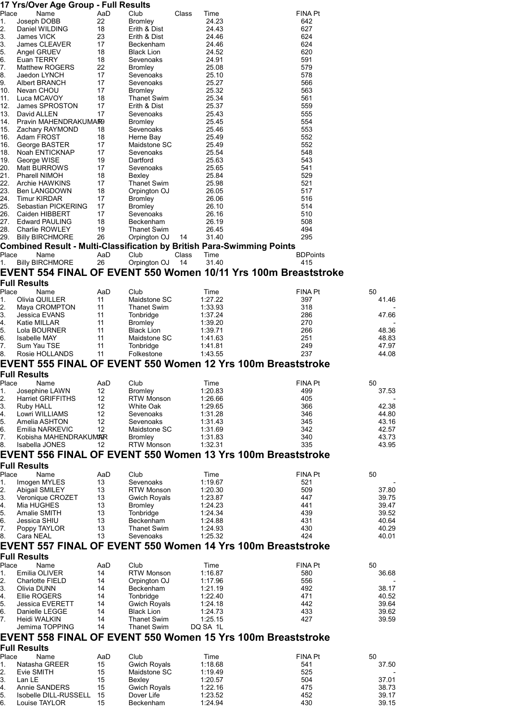|                                                                                           | 17 Yrs/Over Age Group - Full Results     |           |                                       |                                                                        |                        |                |
|-------------------------------------------------------------------------------------------|------------------------------------------|-----------|---------------------------------------|------------------------------------------------------------------------|------------------------|----------------|
| Place                                                                                     | Name                                     | AaD       | Club                                  | Class<br>Time                                                          | <b>FINA Pt</b>         |                |
| 1.                                                                                        | Joseph DOBB                              | 22        | <b>Bromley</b>                        | 24.23                                                                  | 642                    |                |
| 2.<br>3.                                                                                  | Daniel WILDING<br><b>James VICK</b>      | 18<br>23  | Erith & Dist<br>Erith & Dist          | 24.43<br>24.46                                                         | 627<br>624             |                |
| 3.                                                                                        | James CLEAVER                            | 17        | Beckenham                             | 24.46                                                                  | 624                    |                |
| 5.                                                                                        | Angel GRUEV                              | 18        | <b>Black Lion</b>                     | 24.52                                                                  | 620                    |                |
| 6.                                                                                        | Euan TERRY                               | 18        | Sevenoaks                             | 24.91                                                                  | 591                    |                |
| 7.                                                                                        | <b>Matthew ROGERS</b>                    | 22        | <b>Bromley</b>                        | 25.08                                                                  | 579                    |                |
| 8.<br>9.                                                                                  | Jaedon LYNCH<br>Albert BRANCH            | 17<br>17  | Sevenoaks<br>Sevenoaks                | 25.10<br>25.27                                                         | 578<br>566             |                |
| 10.                                                                                       | Nevan CHOU                               | 17        | <b>Bromley</b>                        | 25.32                                                                  | 563                    |                |
| 11.                                                                                       | Luca MCAVOY                              | 18        | <b>Thanet Swim</b>                    | 25.34                                                                  | 561                    |                |
| 12.                                                                                       | James SPROSTON                           | 17        | Erith & Dist                          | 25.37                                                                  | 559                    |                |
| 13.                                                                                       | David ALLEN                              | 17        | Sevenoaks                             | 25.43                                                                  | 555                    |                |
| 14.<br>15.                                                                                | Pravin MAHENDRAKUMAR9<br>Zachary RAYMOND | 18        | <b>Bromley</b><br>Sevenoaks           | 25.45<br>25.46                                                         | 554<br>553             |                |
| 16.                                                                                       | Adam FROST                               | 18        | Herne Bay                             | 25.49                                                                  | 552                    |                |
| 16.                                                                                       | George BASTER                            | 17        | Maidstone SC                          | 25.49                                                                  | 552                    |                |
| 18.                                                                                       | Noah ENTICKNAP                           | 17        | Sevenoaks                             | 25.54                                                                  | 548                    |                |
| 19.<br>20.                                                                                | George WISE<br>Matt BURROWS              | 19<br>17  | Dartford<br>Sevenoaks                 | 25.63<br>25.65                                                         | 543<br>541             |                |
| 21.                                                                                       | <b>Pharell NIMOH</b>                     | 18        | Bexley                                | 25.84                                                                  | 529                    |                |
| 22.                                                                                       | Archie HAWKINS                           | 17        | <b>Thanet Swim</b>                    | 25.98                                                                  | 521                    |                |
| 23.                                                                                       | Ben LANGDOWN                             | 18        | Orpington OJ                          | 26.05                                                                  | 517                    |                |
| 24.                                                                                       | <b>Timur KIRDAR</b>                      | 17        | <b>Bromley</b>                        | 26.06                                                                  | 516                    |                |
| 25.<br>26.                                                                                | Sebastian PICKERING<br>Caiden HIBBERT    | 17<br>17  | <b>Bromley</b><br>Sevenoaks           | 26.10<br>26.16                                                         | 514<br>510             |                |
| 27.                                                                                       | <b>Edward PAULING</b>                    | 18        | Beckenham                             | 26.19                                                                  | 508                    |                |
| 28.                                                                                       | Charlie ROWLEY                           | 19        | <b>Thanet Swim</b>                    | 26.45                                                                  | 494                    |                |
| 29.                                                                                       | <b>Billy BIRCHMORE</b>                   | 26        | Orpington OJ                          | 31.40<br>14                                                            | 295                    |                |
|                                                                                           |                                          |           |                                       | Combined Result - Multi-Classification by British Para-Swimming Points |                        |                |
| Place<br>1.                                                                               | Name<br><b>Billy BIRCHMORE</b>           | AaD<br>26 | Club<br>Orpington OJ                  | Class<br>Time<br>14<br>31.40                                           | <b>BDPoints</b><br>415 |                |
|                                                                                           |                                          |           |                                       | EVENT 554 FINAL OF EVENT 550 Women 10/11 Yrs 100m Breaststroke         |                        |                |
|                                                                                           | <b>Full Results</b>                      |           |                                       |                                                                        |                        |                |
| Place                                                                                     | Name                                     | AaD       | Club                                  | Time                                                                   | FINA Pt                | 50             |
| 1.                                                                                        | Olivia QUILLER                           | 11        | Maidstone SC                          | 1:27.22                                                                | 397                    | 41.46          |
| 2.                                                                                        | Maya CROMPTON                            | 11        | <b>Thanet Swim</b>                    | 1:33.93                                                                | 318                    |                |
| 3.                                                                                        | Jessica EVANS                            | 11        | Tonbridge                             | 1:37.24                                                                | 286                    | 47.66          |
| 4.<br>5.                                                                                  | Katie MILLAR                             | 11<br>11  | <b>Bromley</b>                        | 1:39.20                                                                | 270<br>266             |                |
| 6.                                                                                        | Lola BOURNER<br><b>Isabelle MAY</b>      | 11        | <b>Black Lion</b><br>Maidstone SC     | 1:39.71<br>1:41.63                                                     | 251                    | 48.36<br>48.83 |
| 7.                                                                                        | Sum Yau TSE                              | 11        | Tonbridge                             | 1:41.81                                                                | 249                    | 47.97          |
| 8.                                                                                        | Rosie HOLLANDS                           | 11        | Folkestone                            | 1:43.55                                                                | 237                    | 44.08          |
|                                                                                           |                                          |           |                                       | EVENT 555 FINAL OF EVENT 550 Women 12 Yrs 100m Breaststroke            |                        |                |
|                                                                                           | Full Results                             |           |                                       |                                                                        |                        |                |
|                                                                                           |                                          |           | Club                                  |                                                                        | FINA Pt                | 50             |
|                                                                                           | Name                                     | AaD       |                                       | Time                                                                   |                        |                |
|                                                                                           | Josephine LAWN                           | 12        | <b>Bromley</b>                        | 1:20.83                                                                | 499                    | 37.53          |
|                                                                                           | <b>Harriet GRIFFITHS</b><br>Ruby HALL    | 12<br>12  | <b>RTW Monson</b><br><b>White Oak</b> | 1:26.66                                                                | 405<br>366             | 42.38          |
|                                                                                           | Lowri WILLIAMS                           | 12        | Sevenoaks                             | 1:29.65<br>1:31.28                                                     | 346                    | 44.80          |
|                                                                                           | Amelia ASHTON                            | 12        | Sevenoaks                             | 1:31.43                                                                | 345                    | 43.16          |
|                                                                                           | Emilia NARKEVIC                          | 12        | Maidstone SC                          | 1:31.69                                                                | 342                    | 42.57          |
|                                                                                           | Kobisha MAHENDRAKUMAR                    |           | <b>Bromley</b>                        | 1:31.83                                                                | 340                    | 43.73          |
|                                                                                           | Isabella JONES                           | 12        | <b>RTW Monson</b>                     | 1:32.31                                                                | 335                    | 43.95          |
| Place<br>1.<br>2.<br>3.<br>4.<br>5.<br>6.<br>7.<br>8.                                     |                                          |           |                                       | EVENT 556 FINAL OF EVENT 550 Women 13 Yrs 100m Breaststroke            |                        |                |
|                                                                                           | <b>Full Results</b><br>Name              | AaD       | Club                                  | Time                                                                   | <b>FINA Pt</b>         | 50             |
| Place<br>1.                                                                               | Imogen MYLES                             | 13        | Sevenoaks                             | 1:19.67                                                                | 521                    |                |
|                                                                                           | Abigail SMILEY                           | 13        | <b>RTW Monson</b>                     | 1:20.30                                                                | 509                    | 37.80          |
|                                                                                           | Veronique CROZET                         | 13        | Gwich Royals                          | 1:23.87                                                                | 447                    | 39.75          |
|                                                                                           | Mia HUGHES                               | 13        | <b>Bromley</b>                        | 1:24.23                                                                | 441                    | 39.47          |
|                                                                                           | Amalie SMITH<br>Jessica SHIU             | 13<br>13  | Tonbridge<br>Beckenham                | 1:24.34<br>1:24.88                                                     | 439<br>431             | 39.52<br>40.64 |
|                                                                                           | Poppy TAYLOR                             | 13        | <b>Thanet Swim</b>                    | 1:24.93                                                                | 430                    | 40.29          |
|                                                                                           | Cara NEAL                                | 13        | Sevenoaks                             | 1:25.32                                                                | 424                    | 40.01          |
|                                                                                           |                                          |           |                                       | EVENT 557 FINAL OF EVENT 550 Women 14 Yrs 100m Breaststroke            |                        |                |
|                                                                                           | <b>Full Results</b>                      |           |                                       |                                                                        |                        |                |
|                                                                                           | Name                                     | AaD       | Club                                  | Time                                                                   | <b>FINA Pt</b>         | 50             |
|                                                                                           | Emilia OLIVER                            | 14        | <b>RTW Monson</b>                     | 1:16.87                                                                | 580                    | 36.68          |
|                                                                                           | <b>Charlotte FIELD</b>                   | 14<br>14  | Orpington OJ                          | 1:17.96                                                                | 556                    |                |
|                                                                                           | Olivia DUNN<br>Ellie ROGERS              | 14        | Beckenham<br>Tonbridge                | 1:21.19<br>1:22.40                                                     | 492<br>471             | 38.17<br>40.52 |
|                                                                                           | <b>Jessica EVERETT</b>                   | 14        | <b>Gwich Royals</b>                   | 1:24.18                                                                | 442                    | 39.64          |
|                                                                                           | Danielle LEGGE                           | 14        | <b>Black Lion</b>                     | 1:24.73                                                                | 433                    | 39.62          |
|                                                                                           | Heidi WALKIN                             | 14        | <b>Thanet Swim</b>                    | 1:25.15                                                                | 427                    | 39.59          |
|                                                                                           | Jemima TOPPING                           | 14        | <b>Thanet Swim</b>                    | DQ SA 1L                                                               |                        |                |
|                                                                                           |                                          |           |                                       | EVENT 558 FINAL OF EVENT 550 Women 15 Yrs 100m Breaststroke            |                        |                |
| 2.<br>3.<br>4.<br>5.<br>6.<br>7.<br>8.<br>Place<br>1.<br>2.<br>3.<br>4.<br>5.<br>6.<br>7. | <b>Full Results</b>                      |           |                                       |                                                                        |                        |                |
| Place<br>1.                                                                               | Name<br>Natasha GREER                    | AaD<br>15 | Club<br><b>Gwich Royals</b>           | Time<br>1:18.68                                                        | FINA Pt<br>541         | 50<br>37.50    |

| Place | Name                  | AaD | Club         | Time    | FINA Pt | 50    |
|-------|-----------------------|-----|--------------|---------|---------|-------|
|       | Natasha GREER         | 15  | Gwich Royals | 1:18.68 | 541     | 37.50 |
| 2.    | Evie SMITH            | 15  | Maidstone SC | 1:19.49 | 525     |       |
|       | Lan LE                | 15  | Bexlev       | 1:20.57 | 504     | 37.01 |
| 4.    | Annie SANDERS         | 15  | Gwich Royals | 1:22.16 | 475     | 38.73 |
| 5.    | Isobelle DILL-RUSSELL | -15 | Dover Life   | 1:23.52 | 452     | 39.17 |
| 6.    | Louise TAYLOR         | 15  | Beckenham    | 1:24.94 | 430     | 39.15 |
|       |                       |     |              |         |         |       |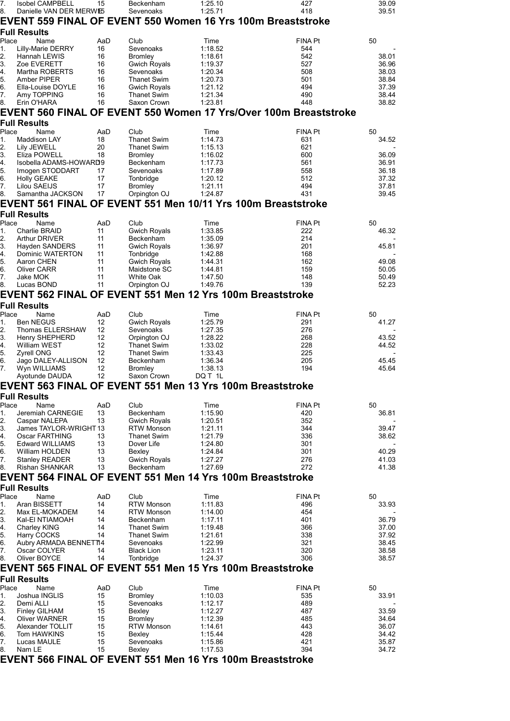| 7.                                                                                 | <b>Isobel CAMPBELL</b>                                       | 15        | Beckenham                                 | 1:25.10            | 427                                                              | 39.09          |  |  |
|------------------------------------------------------------------------------------|--------------------------------------------------------------|-----------|-------------------------------------------|--------------------|------------------------------------------------------------------|----------------|--|--|
| 8.                                                                                 | Danielle VAN DER MERWE5                                      |           | Sevenoaks                                 | 1:25.71            | 418                                                              | 39.51          |  |  |
| EVENT 559 FINAL OF EVENT 550 Women 16 Yrs 100m Breaststroke<br><b>Full Results</b> |                                                              |           |                                           |                    |                                                                  |                |  |  |
| Place                                                                              | Name                                                         | AaD       | Club                                      | Time               | <b>FINA Pt</b>                                                   | 50             |  |  |
| 1.                                                                                 | <b>Lilly-Marie DERRY</b>                                     | 16        | Sevenoaks                                 | 1:18.52            | 544                                                              |                |  |  |
| 2.                                                                                 | Hannah LEWIS                                                 | 16        | <b>Bromley</b>                            | 1:18.61            | 542                                                              | 38.01          |  |  |
| 3.                                                                                 | Zoe EVERETT                                                  | 16        | <b>Gwich Royals</b>                       | 1:19.37            | 527                                                              | 36.96          |  |  |
| 4.<br>5.                                                                           | Martha ROBERTS<br>Amber PIPER                                | 16<br>16  | Sevenoaks                                 | 1:20.34<br>1:20.73 | 508<br>501                                                       | 38.03<br>38.84 |  |  |
| 6.                                                                                 | Ella-Louise DOYLE                                            | 16        | <b>Thanet Swim</b><br><b>Gwich Royals</b> | 1:21.12            | 494                                                              | 37.39          |  |  |
| 7.                                                                                 | Amy TOPPING                                                  | 16        | <b>Thanet Swim</b>                        | 1:21.34            | 490                                                              | 38.44          |  |  |
| 8.                                                                                 | Erin O'HARA                                                  | 16        | Saxon Crown                               | 1:23.81            | 448                                                              | 38.82          |  |  |
|                                                                                    |                                                              |           |                                           |                    | EVENT 560 FINAL OF EVENT 550 Women 17 Yrs/Over 100m Breaststroke |                |  |  |
|                                                                                    | Full Results                                                 |           |                                           |                    |                                                                  |                |  |  |
| Place                                                                              | Name                                                         | AaD       | Club                                      | Time               | <b>FINA Pt</b>                                                   | 50             |  |  |
| 1.                                                                                 | Maddison LAY                                                 | 18        | <b>Thanet Swim</b>                        | 1:14.73            | 631                                                              | 34.52          |  |  |
| 2.<br>3.                                                                           | Lily JEWELL<br>Eliza POWELL                                  | 20<br>18  | <b>Thanet Swim</b><br><b>Bromley</b>      | 1:15.13<br>1:16.02 | 621<br>600                                                       | 36.09          |  |  |
| 4.                                                                                 | Isobella ADAMS-HOWARD9                                       |           | Beckenham                                 | 1:17.73            | 561                                                              | 36.91          |  |  |
| 5.                                                                                 | Imogen STODDART                                              | 17        | Sevenoaks                                 | 1:17.89            | 558                                                              | 36.18          |  |  |
| 6.                                                                                 | <b>Holly GEAKE</b>                                           | 17        | Tonbridge                                 | 1:20.12            | 512                                                              | 37.32          |  |  |
| 7.                                                                                 | Lilou SAEIJS                                                 | 17        | <b>Bromley</b>                            | 1:21.11            | 494                                                              | 37.81          |  |  |
| 8.                                                                                 | Samantha JACKSON                                             | 17        | Orpington OJ                              | 1:24.87            | 431                                                              | 39.45          |  |  |
|                                                                                    | EVENT 561 FINAL OF EVENT 551 Men 10/11 Yrs 100m Breaststroke |           |                                           |                    |                                                                  |                |  |  |
|                                                                                    | <b>Full Results</b>                                          |           |                                           |                    |                                                                  |                |  |  |
| Place<br>1.                                                                        | Name<br>Charlie BRAID                                        | AaD<br>11 | Club<br><b>Gwich Royals</b>               | Time<br>1:33.85    | <b>FINA Pt</b><br>222                                            | 50<br>46.32    |  |  |
| 2.                                                                                 | Arthur DRIVER                                                | 11        | Beckenham                                 | 1:35.09            | 214                                                              |                |  |  |
| 3.                                                                                 | Hayden SANDERS                                               | 11        | <b>Gwich Royals</b>                       | 1:36.97            | 201                                                              | 45.81          |  |  |
| 4.                                                                                 | Dominic WATERTON                                             | 11        | Tonbridge                                 | 1:42.88            | 168                                                              |                |  |  |
| 5.                                                                                 | Aaron CHEN                                                   | 11<br>11  | <b>Gwich Royals</b>                       | 1:44.31            | 162                                                              | 49.08          |  |  |
| 6.<br>7.                                                                           | <b>Oliver CARR</b><br>Jake MOK                               | 11        | Maidstone SC<br><b>White Oak</b>          | 1:44.81<br>1:47.50 | 159<br>148                                                       | 50.05<br>50.49 |  |  |
| 8.                                                                                 | Lucas BOND                                                   | 11        | Orpington OJ                              | 1:49.76            | 139                                                              | 52.23          |  |  |
|                                                                                    | EVENT 562 FINAL OF EVENT 551 Men 12 Yrs 100m Breaststroke    |           |                                           |                    |                                                                  |                |  |  |
|                                                                                    | Full Results                                                 |           |                                           |                    |                                                                  |                |  |  |
| Place                                                                              | Name                                                         | AaD       | Club                                      | Time               | <b>FINA Pt</b>                                                   | 50             |  |  |
| 1.                                                                                 | <b>Ben NEGUS</b>                                             | 12        | Gwich Royals                              | 1:25.79            | 291                                                              | 41.27          |  |  |
| 2.                                                                                 | Thomas ELLERSHAW                                             | 12        | Sevenoaks                                 | 1:27.35            | 276                                                              |                |  |  |
| 3.                                                                                 | <b>Henry SHEPHERD</b><br>William WEST                        | 12<br>12  | Orpington OJ                              | 1:28.22            | 268<br>228                                                       | 43.52<br>44.52 |  |  |
| 4.<br>5.                                                                           | <b>Zyrell ONG</b>                                            | 12        | <b>Thanet Swim</b><br><b>Thanet Swim</b>  | 1:33.02<br>1:33.43 | 225                                                              |                |  |  |
| 6.                                                                                 | Jago DALEY-ALLISON                                           | 12        | Beckenham                                 | 1:36.34            | 205                                                              | 45.45          |  |  |
| 7.                                                                                 | Wyn WILLIAMS                                                 | 12        | <b>Bromley</b>                            | 1:38.13            | 194                                                              | 45.64          |  |  |
|                                                                                    | Ayotunde DAUDA                                               | 12        | Saxon Crown                               | DQ T 1L            |                                                                  |                |  |  |
|                                                                                    | EVENT 563 FINAL OF EVENT 551 Men 13 Yrs 100m Breaststroke    |           |                                           |                    |                                                                  |                |  |  |
|                                                                                    | Full Results                                                 |           |                                           |                    |                                                                  |                |  |  |
| Place                                                                              | Name                                                         | AaD       | Club                                      | Time               | <b>FINA Pt</b>                                                   | 50             |  |  |
| 1.<br>2.                                                                           | Jeremiah CARNEGIE<br>Caspar NALEPA                           | 13<br>13  | Beckenham<br><b>Gwich Royals</b>          | 1:15.90<br>1:20.51 | 420<br>352                                                       | 36.81          |  |  |
| 3.                                                                                 | James TAYLOR-WRIGHT 13                                       |           | <b>RTW Monson</b>                         | 1:21.11            | 344                                                              | 39.47          |  |  |
| 4.                                                                                 | Oscar FARTHING                                               | 13        | <b>Thanet Swim</b>                        | 1:21.79            | 336                                                              | 38.62          |  |  |
| 5.                                                                                 | <b>Edward WILLIAMS</b>                                       | 13        | Dover Life                                | 1:24.80            | 301                                                              |                |  |  |
| 6.<br>7.                                                                           | William HOLDEN<br><b>Stanley READER</b>                      | 13<br>13  | Bexley<br><b>Gwich Royals</b>             | 1:24.84<br>1:27.27 | 301<br>276                                                       | 40.29<br>41.03 |  |  |
| 8.                                                                                 | <b>Rishan SHANKAR</b>                                        | 13        | Beckenham                                 | 1:27.69            | 272                                                              | 41.38          |  |  |
|                                                                                    | EVENT 564 FINAL OF EVENT 551 Men 14 Yrs 100m Breaststroke    |           |                                           |                    |                                                                  |                |  |  |
|                                                                                    | Full Results                                                 |           |                                           |                    |                                                                  |                |  |  |
| Place                                                                              | Name                                                         | AaD       | Club                                      | Time               | <b>FINA Pt</b>                                                   | 50             |  |  |
| 1.                                                                                 | Aran BISSETT                                                 | 14        | <b>RTW Monson</b>                         | 1:11.83            | 496                                                              | 33.93          |  |  |
| 2.                                                                                 | Max EL-MOKADEM                                               | 14        | <b>RTW Monson</b>                         | 1:14.00            | 454                                                              |                |  |  |
| 3.                                                                                 | Kal-EI NTIAMOAH                                              | 14        | Beckenham                                 | 1:17.11            | 401                                                              | 36.79          |  |  |
| 4.<br>5.                                                                           | Charley KING<br>Harry COCKS                                  | 14<br>14  | <b>Thanet Swim</b><br><b>Thanet Swim</b>  | 1:19.48<br>1:21.61 | 366<br>338                                                       | 37.00<br>37.92 |  |  |
| 6.                                                                                 | Aubry ARMADA BENNET14                                        |           | Sevenoaks                                 | 1:22.99            | 321                                                              | 38.45          |  |  |
| 7.                                                                                 | Oscar COLYER                                                 | 14        | <b>Black Lion</b>                         | 1:23.11            | 320                                                              | 38.58          |  |  |
| 8.                                                                                 | Oliver BOYCE                                                 | 14        | Tonbridge                                 | 1:24.37            | 306                                                              | 38.57          |  |  |
|                                                                                    | EVENT 565 FINAL OF EVENT 551 Men 15 Yrs 100m Breaststroke    |           |                                           |                    |                                                                  |                |  |  |
|                                                                                    | Full Results                                                 |           |                                           |                    |                                                                  |                |  |  |
| Place                                                                              | Name                                                         | AaD       | Club                                      | Time               | <b>FINA Pt</b>                                                   | 50             |  |  |
| 1.                                                                                 | Joshua INGLIS                                                | 15        | <b>Bromley</b>                            | 1:10.03            | 535                                                              | 33.91          |  |  |
| 2.<br>3.                                                                           | Demi ALLI<br><b>Finley GILHAM</b>                            | 15<br>15  | Sevenoaks<br>Bexley                       | 1:12.17<br>1:12.27 | 489<br>487                                                       | 33.59          |  |  |
| 4.                                                                                 | Oliver WARNER                                                | 15        | <b>Bromley</b>                            | 1:12.39            | 485                                                              | 34.64          |  |  |
| 5.                                                                                 | Alexander TOLLIT                                             | 15        | <b>RTW Monson</b>                         | 1:14.61            | 443                                                              | 36.07          |  |  |
| 6.                                                                                 | Tom HAWKINS                                                  | 15        | Bexley                                    | 1:15.44            | 428                                                              | 34.42          |  |  |
| 7.                                                                                 | Lucas MAULE<br>Nam LE                                        | 15<br>15  | Sevenoaks                                 | 1:15.86            | 421<br>394                                                       | 35.87<br>34.72 |  |  |
| 8.                                                                                 | EVENT 566 FINAL OF EVENT 551 Men 16 Yrs 100m Breaststroke    |           | Bexley                                    | 1:17.53            |                                                                  |                |  |  |
|                                                                                    |                                                              |           |                                           |                    |                                                                  |                |  |  |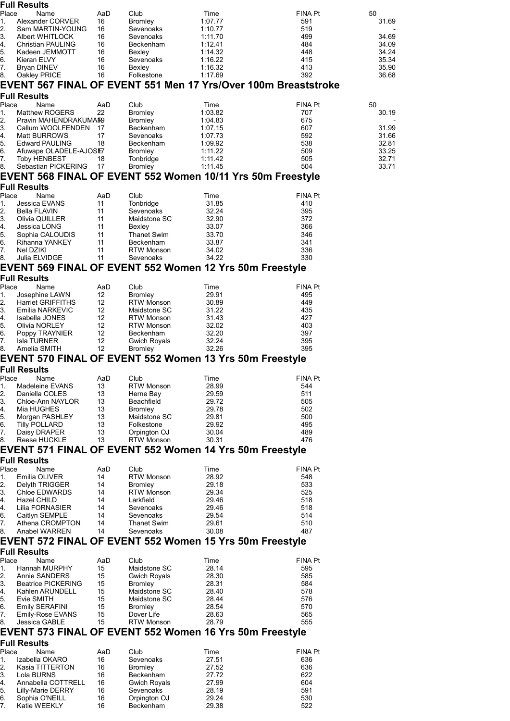|                                                                                                                                                                                                             | <b>Full Results</b>                          |                         |                                        |                                                                |                       |                |
|-------------------------------------------------------------------------------------------------------------------------------------------------------------------------------------------------------------|----------------------------------------------|-------------------------|----------------------------------------|----------------------------------------------------------------|-----------------------|----------------|
| Place<br>1.                                                                                                                                                                                                 | Name<br>Alexander CORVER                     | AaD<br>16               | Club<br><b>Bromley</b>                 | Time<br>1:07.77                                                | FINA Pt<br>591        | 50<br>31.69    |
| 2.                                                                                                                                                                                                          | Sam MARTIN-YOUNG                             | 16                      | Sevenoaks                              | 1:10.77                                                        | 519                   |                |
| 3.                                                                                                                                                                                                          | Albert WHITLOCK                              | 16                      | Sevenoaks                              | 1:11.70                                                        | 499                   | 34.69          |
| 4.                                                                                                                                                                                                          | Christian PAULING                            | 16                      | Beckenham                              | 1:12.41                                                        | 484                   | 34.09          |
| 5.                                                                                                                                                                                                          | Kadeen JEMMOTT                               | 16                      | Bexley                                 | 1:14.32                                                        | 448                   | 34.24          |
| 6.<br>7.                                                                                                                                                                                                    | Kieran ELVY                                  | 16<br>16                | Sevenoaks                              | 1:16.22<br>1:16.32                                             | 415<br>413            | 35.34<br>35.90 |
| 8.                                                                                                                                                                                                          | Bryan DINEV<br>Oakley PRICE                  | 16                      | Bexley<br>Folkestone                   | 1:17.69                                                        | 392                   | 36.68          |
|                                                                                                                                                                                                             |                                              |                         |                                        | EVENT 567 FINAL OF EVENT 551 Men 17 Yrs/Over 100m Breaststroke |                       |                |
|                                                                                                                                                                                                             | <b>Full Results</b>                          |                         |                                        |                                                                |                       |                |
| Place                                                                                                                                                                                                       | Name                                         | AaD                     | Club                                   | Time                                                           | FINA Pt               | 50             |
| 1.                                                                                                                                                                                                          | <b>Matthew ROGERS</b>                        | 22                      | <b>Bromley</b>                         | 1:03.82                                                        | 707                   | 30.19          |
| 2.                                                                                                                                                                                                          | Pravin MAHENDRAKUMAR9                        |                         | <b>Bromley</b>                         | 1:04.83                                                        | 675                   |                |
| 3.<br>4.                                                                                                                                                                                                    | Callum WOOLFENDEN                            | 17<br>17                | Beckenham<br>Sevenoaks                 | 1:07.15<br>1:07.73                                             | 607<br>592            | 31.99<br>31.66 |
| 5.                                                                                                                                                                                                          | Matt BURROWS<br><b>Edward PAULING</b>        | 18                      | Beckenham                              | 1:09.92                                                        | 538                   | 32.81          |
| 6.                                                                                                                                                                                                          | Afuwape OLADELE-AJOSE7                       |                         | <b>Bromley</b>                         | 1:11.22                                                        | 509                   | 33.25          |
| 7.                                                                                                                                                                                                          | <b>Toby HENBEST</b>                          | 18                      | Tonbridge                              | 1:11.42                                                        | 505                   | 32.71          |
| 8.                                                                                                                                                                                                          | Sebastian PICKERING                          | 17                      | <b>Bromley</b>                         | 1:11.45                                                        | 504                   | 33.71          |
|                                                                                                                                                                                                             |                                              |                         |                                        | EVENT 568 FINAL OF EVENT 552 Women 10/11 Yrs 50m Freestyle     |                       |                |
|                                                                                                                                                                                                             | <b>Full Results</b>                          |                         |                                        |                                                                |                       |                |
| Place<br>1.                                                                                                                                                                                                 | Name<br>Jessica EVANS                        | AaD<br>11               | Club<br>Tonbridge                      | Time<br>31.85                                                  | <b>FINA Pt</b><br>410 |                |
| 2.                                                                                                                                                                                                          | Bella FLAVIN                                 | 11                      | Sevenoaks                              | 32.24                                                          | 395                   |                |
| 3.                                                                                                                                                                                                          | Olivia QUILLER                               | 11                      | Maidstone SC                           | 32.90                                                          | 372                   |                |
| 4.                                                                                                                                                                                                          | Jessica LONG                                 | 11                      | Bexley                                 | 33.07                                                          | 366                   |                |
| 5.                                                                                                                                                                                                          | Sophia CALOUDIS                              | 11<br>11                | <b>Thanet Swim</b><br><b>Beckenham</b> | 33.70<br>33.87                                                 | 346<br>341            |                |
| 6.<br>7.                                                                                                                                                                                                    | Rihanna YANKEY<br>Nel DZIKI                  | 11                      | <b>RTW Monson</b>                      | 34.02                                                          | 336                   |                |
| 8.                                                                                                                                                                                                          | Julia ELVIDGE                                | 11                      | Sevenoaks                              | 34.22                                                          | 330                   |                |
|                                                                                                                                                                                                             |                                              |                         |                                        | EVENT 569 FINAL OF EVENT 552 Women 12 Yrs 50m Freestyle        |                       |                |
|                                                                                                                                                                                                             | <b>Full Results</b>                          |                         |                                        |                                                                |                       |                |
| Place                                                                                                                                                                                                       | Name                                         | AaD                     | Club                                   | Time                                                           | <b>FINA Pt</b>        |                |
| 1.                                                                                                                                                                                                          | Josephine LAWN                               | 12                      | <b>Bromley</b>                         | 29.91                                                          | 495                   |                |
| 2.<br>3.                                                                                                                                                                                                    | <b>Harriet GRIFFITHS</b><br>Emilia NARKEVIC  | 12<br>$12 \overline{ }$ | <b>RTW Monson</b><br>Maidstone SC      | 30.89<br>31.22                                                 | 449<br>435            |                |
| 4.                                                                                                                                                                                                          | Isabella JONES                               | $12 \overline{ }$       | <b>RTW Monson</b>                      | 31.43                                                          | 427                   |                |
| 5.                                                                                                                                                                                                          | Olivia NORLEY                                | 12                      | <b>RTW Monson</b>                      | 32.02                                                          | 403                   |                |
| 6.                                                                                                                                                                                                          | Poppy TRAYNIER                               | 12                      | Beckenham                              | 32.20                                                          | 397                   |                |
| 7.<br>8.                                                                                                                                                                                                    | <b>Isla TURNER</b><br>Amelia SMITH           | 12<br>12                | <b>Gwich Royals</b><br>Bromley         | 32.24<br>32.26                                                 | 395<br>395            |                |
|                                                                                                                                                                                                             |                                              |                         |                                        | <b>EVENT 570 FINAL OF EVENT 552 Women 13 Yrs 50m Freestyle</b> |                       |                |
|                                                                                                                                                                                                             | <b>Full Results</b>                          |                         |                                        |                                                                |                       |                |
| Place                                                                                                                                                                                                       | Name                                         | AaD                     | Club                                   | Time                                                           | <b>FINA Pt</b>        |                |
| Π.                                                                                                                                                                                                          | Madeleine EVANS                              | 13                      | RTW Monson                             | 28.99                                                          | 544                   |                |
|                                                                                                                                                                                                             |                                              |                         |                                        |                                                                |                       |                |
|                                                                                                                                                                                                             | Daniella COLES                               | 13                      | Herne Bay                              | 29.59                                                          | 511                   |                |
|                                                                                                                                                                                                             | Chloe-Ann NAYLOR                             | 13                      | Beachfield                             | 29.72                                                          | 505                   |                |
|                                                                                                                                                                                                             | Mia HUGHES<br>Morgan PASHLEY                 | 13<br>13                | <b>Bromley</b><br>Maidstone SC         | 29.78<br>29.81                                                 | 502<br>500            |                |
|                                                                                                                                                                                                             | <b>Tilly POLLARD</b>                         | 13                      | Folkestone                             | 29.92                                                          | 495                   |                |
|                                                                                                                                                                                                             | Daisy DRAPER                                 | 13                      | Orpington OJ                           | 30.04                                                          | 489                   |                |
|                                                                                                                                                                                                             | Reese HUCKLE                                 | 13                      | <b>RTW Monson</b>                      | 30.31                                                          | 476                   |                |
|                                                                                                                                                                                                             |                                              |                         |                                        | EVENT 571 FINAL OF EVENT 552 Women 14 Yrs 50m Freestyle        |                       |                |
|                                                                                                                                                                                                             | <b>Full Results</b>                          |                         |                                        |                                                                |                       |                |
|                                                                                                                                                                                                             | Name                                         | AaD<br>14               | Club                                   | Time                                                           | FINA Pt               |                |
|                                                                                                                                                                                                             | Emilia OLIVER<br>Delyth TRIGGER              | 14                      | <b>RTW Monson</b><br>Bromley           | 28.92<br>29.18                                                 | 548<br>533            |                |
|                                                                                                                                                                                                             | Chloe EDWARDS                                | 14                      | <b>RTW Monson</b>                      | 29.34                                                          | 525                   |                |
|                                                                                                                                                                                                             | Hazel CHILD                                  | 14                      | Larkfield                              | 29.46                                                          | 518                   |                |
|                                                                                                                                                                                                             | Lilia FORNASIER                              | 14                      | Sevenoaks                              | 29.46                                                          | 518                   |                |
|                                                                                                                                                                                                             | Caitlyn SEMPLE<br>Athena CROMPTON            | 14<br>14                | Sevenoaks<br><b>Thanet Swim</b>        | 29.54<br>29.61                                                 | 514<br>510            |                |
|                                                                                                                                                                                                             | Anabel WARREN                                | 14                      | Sevenoaks                              | 30.08                                                          | 487                   |                |
|                                                                                                                                                                                                             |                                              |                         |                                        | EVENT 572 FINAL OF EVENT 552 Women 15 Yrs 50m Freestyle        |                       |                |
|                                                                                                                                                                                                             | <b>Full Results</b>                          |                         |                                        |                                                                |                       |                |
|                                                                                                                                                                                                             | Name                                         | AaD                     | Club                                   | Time                                                           | <b>FINA Pt</b>        |                |
|                                                                                                                                                                                                             | Hannah MURPHY                                | 15                      | Maidstone SC                           | 28.14                                                          | 595                   |                |
|                                                                                                                                                                                                             | Annie SANDERS                                | 15                      | <b>Gwich Royals</b>                    | 28.30                                                          | 585                   |                |
|                                                                                                                                                                                                             | <b>Beatrice PICKERING</b><br>Kahlen ARUNDELL | 15<br>15                | <b>Bromley</b><br>Maidstone SC         | 28.31<br>28.40                                                 | 584<br>578            |                |
|                                                                                                                                                                                                             | Evie SMITH                                   | 15                      | Maidstone SC                           | 28.44                                                          | 576                   |                |
|                                                                                                                                                                                                             | Emily SERAFINI                               | 15                      | <b>Bromley</b>                         | 28.54                                                          | 570                   |                |
|                                                                                                                                                                                                             | Emily-Rose EVANS                             | 15                      | Dover Life                             | 28.63                                                          | 565                   |                |
|                                                                                                                                                                                                             | Jessica GABLE                                | 15                      | <b>RTW Monson</b>                      | 28.79                                                          | 555                   |                |
|                                                                                                                                                                                                             |                                              |                         |                                        | EVENT 573 FINAL OF EVENT 552 Women 16 Yrs 50m Freestyle        |                       |                |
|                                                                                                                                                                                                             | <b>Full Results</b>                          |                         |                                        |                                                                |                       |                |
|                                                                                                                                                                                                             | Name<br>Izabella OKARO                       | AaD<br>16               | Club<br>Sevenoaks                      | Time<br>27.51                                                  | FINA Pt<br>636        |                |
|                                                                                                                                                                                                             | Kasia TITTERTON                              | 16                      | <b>Bromley</b>                         | 27.52                                                          | 636                   |                |
|                                                                                                                                                                                                             | Lola BURNS                                   | 16                      | Beckenham                              | 27.72                                                          | 622                   |                |
|                                                                                                                                                                                                             | Annabella COTTRELL                           | 16                      | <b>Gwich Royals</b>                    | 27.99                                                          | 604                   |                |
|                                                                                                                                                                                                             | <b>Lilly-Marie DERRY</b>                     | 16                      | Sevenoaks                              | 28.19                                                          | 591                   |                |
| 2.<br>3.<br>4.<br>5.<br>6.<br>7.<br>8.<br>Place<br>1.<br>2.<br>3.<br>4.<br>4.<br>6.<br>7.<br>8.<br>Place<br>1.<br>2.<br>3.<br>4.<br>5.<br>6.<br>7.<br>8.<br>Place<br>1.<br>2.<br>3.<br>4.<br>5.<br>6.<br>7. | Sophia O'NEILL<br>Katie WEEKLY               | 16<br>16                | Orpington OJ<br>Beckenham              | 29.24<br>29.38                                                 | 530<br>522            |                |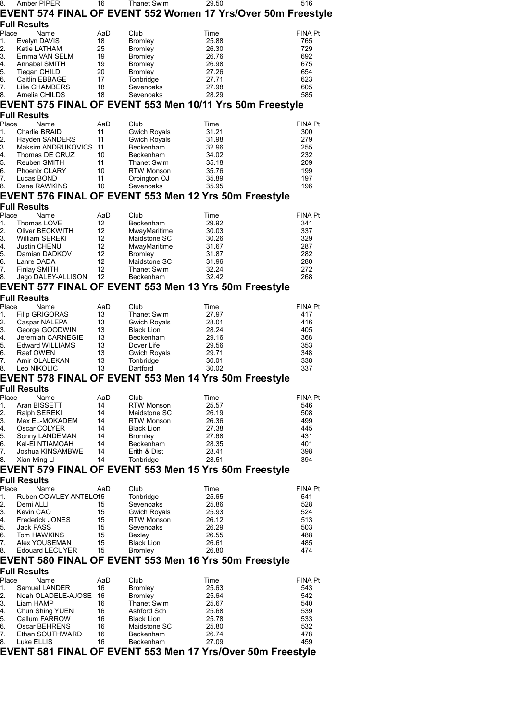| 8.       | Amber PIPER                         | 16        | <b>Thanet Swim</b>                | 29.50                                                        | 516            |
|----------|-------------------------------------|-----------|-----------------------------------|--------------------------------------------------------------|----------------|
|          |                                     |           |                                   | EVENT 574 FINAL OF EVENT 552 Women 17 Yrs/Over 50m Freestyle |                |
|          | <b>Full Results</b>                 |           |                                   |                                                              |                |
| Place    | Name                                | AaD       | Club                              | Time                                                         | <b>FINA Pt</b> |
| 1.       | Evelyn DAVIS                        | 18        | <b>Bromley</b>                    | 25.88                                                        | 765            |
| 2.       | Katie LATHAM                        | 25        | <b>Bromley</b>                    | 26.30                                                        | 729            |
| 3.<br>4. | Emma VAN SELM<br>Annabel SMITH      | 19<br>19  | <b>Bromley</b><br><b>Bromley</b>  | 26.76<br>26.98                                               | 692<br>675     |
| 5.       | Tiegan CHILD                        | 20        | <b>Bromley</b>                    | 27.26                                                        | 654            |
| 6.       | Caitlin EBBAGE                      | 17        | Tonbridge                         | 27.71                                                        | 623            |
| 7.       | Lilie CHAMBERS                      | 18        | Sevenoaks                         | 27.98                                                        | 605            |
| 8.       | Amelia CHILDS                       | 18        | Sevenoaks                         | 28.29                                                        | 585            |
|          |                                     |           |                                   | EVENT 575 FINAL OF EVENT 553 Men 10/11 Yrs 50m Freestyle     |                |
|          | <b>Full Results</b>                 |           |                                   |                                                              |                |
| Place    | Name                                | AaD       | Club                              | Time                                                         | <b>FINA Pt</b> |
| 1.       | Charlie BRAID                       | 11        | <b>Gwich Royals</b>               | 31.21                                                        | 300            |
| 2.       | Hayden SANDERS                      | 11        | <b>Gwich Royals</b>               | 31.98                                                        | 279            |
| 3.<br>4. | Maksim ANDRUKOVICS                  | -11<br>10 | Beckenham                         | 32.96                                                        | 255<br>232     |
| 5.       | Thomas DE CRUZ<br>Reuben SMITH      | 11        | Beckenham<br><b>Thanet Swim</b>   | 34.02<br>35.18                                               | 209            |
| 6.       | <b>Phoenix CLARY</b>                | 10        | <b>RTW Monson</b>                 | 35.76                                                        | 199            |
| 7.       | Lucas BOND                          | 11        | Orpington OJ                      | 35.89                                                        | 197            |
| 8.       | Dane RAWKINS                        | 10        | Sevenoaks                         | 35.95                                                        | 196            |
|          |                                     |           |                                   | EVENT 576 FINAL OF EVENT 553 Men 12 Yrs 50m Freestyle        |                |
|          | <b>Full Results</b>                 |           |                                   |                                                              |                |
| Place    | Name                                | AaD       | Club                              | Time                                                         | <b>FINA Pt</b> |
| 1.       | Thomas LOVE                         | 12        | Beckenham                         | 29.92                                                        | 341            |
| 2.       | Oliver BECKWITH                     | 12        | MwayMaritime                      | 30.03                                                        | 337            |
| 3.       | William SEREKI                      | 12        | Maidstone SC                      | 30.26                                                        | 329            |
| 4.       | Justin CHENU                        | 12        | MwayMaritime                      | 31.67                                                        | 287            |
| 5.<br>6. | Damian DADKOV<br>Lanre DADA         | 12<br>12  | <b>Bromley</b><br>Maidstone SC    | 31.87<br>31.96                                               | 282<br>280     |
| 7.       | <b>Finlay SMITH</b>                 | 12        | <b>Thanet Swim</b>                | 32.24                                                        | 272            |
| 8.       | Jago DALEY-ALLISON                  | 12        | Beckenham                         | 32.42                                                        | 268            |
|          |                                     |           |                                   | EVENT 577 FINAL OF EVENT 553 Men 13 Yrs 50m Freestyle        |                |
|          | <b>Full Results</b>                 |           |                                   |                                                              |                |
| Place    | Name                                | AaD       | Club                              | Time                                                         | <b>FINA Pt</b> |
| 1.       | <b>Filip GRIGORAS</b>               | 13        | <b>Thanet Swim</b>                | 27.97                                                        | 417            |
| 2.       | Caspar NALEPA                       | 13        | <b>Gwich Royals</b>               | 28.01                                                        | 416            |
| 3.       | George GOODWIN                      | 13        | <b>Black Lion</b>                 | 28.24                                                        | 405            |
| 4.       | Jeremiah CARNEGIE                   | 13        | Beckenham                         | 29.16                                                        | 368            |
| 5.<br>6. | <b>Edward WILLIAMS</b><br>Raef OWEN | 13<br>13  | Dover Life<br><b>Gwich Royals</b> | 29.56<br>29.71                                               | 353<br>348     |
| 7.       | Amir OLALEKAN                       | 13        | Tonbridge                         | 30.01                                                        | 338            |
| 8.       | Leo NIKOLIC                         | 13        | Dartford                          | 30.02                                                        | 337            |
|          |                                     |           |                                   | EVENT 578 FINAL OF EVENT 553 Men 14 Yrs 50m Freestyle        |                |
|          | <b>Full Results</b>                 |           |                                   |                                                              |                |
| Place    | Name                                | AaD       | Club                              | Time                                                         | <b>FINA Pt</b> |
| 1.       | Aran BISSETT                        | 14        | <b>RTW Monson</b>                 | 25.57                                                        | 546            |
| 2.       | Ralph SEREKI                        | 14        | Maidstone SC                      | 26.19                                                        | 508            |
| 3.       | Max EL-MOKADEM                      | 14        | <b>RTW Monson</b>                 | 26.36                                                        | 499            |
| 4.       | Oscar COLYER                        | 14        | <b>Black Lion</b>                 | 27.38                                                        | 445            |
| 5.<br>6. | Sonny LANDEMAN<br>Kal-EI NTIAMOAH   | 14<br>14  | Bromley<br>Beckenham              | 27.68<br>28.35                                               | 431<br>401     |
| 7.       | Joshua KINSAMBWE                    | 14        | Erith & Dist                      | 28.41                                                        | 398            |
| 8.       | Xian Ming LI                        | 14        | Tonbridge                         | 28.51                                                        | 394            |
|          |                                     |           |                                   | EVENT 579 FINAL OF EVENT 553 Men 15 Yrs 50m Freestyle        |                |
|          | <b>Full Results</b>                 |           |                                   |                                                              |                |
| Place    | Name                                | AaD       | Club                              | Time                                                         | <b>FINA Pt</b> |
| 1.       | Ruben COWLEY ANTELO15               |           | Tonbridge                         | 25.65                                                        | 541            |
| 2.       | Demi ALLI                           | 15        | Sevenoaks                         | 25.86                                                        | 528            |
| 3.       | Kevin CAO                           | 15        | <b>Gwich Royals</b>               | 25.93                                                        | 524            |
| 4.<br>5. | <b>Frederick JONES</b><br>Jack PASS | 15<br>15  | <b>RTW Monson</b><br>Sevenoaks    | 26.12<br>26.29                                               | 513<br>503     |
| 6.       | Tom HAWKINS                         | 15        | Bexley                            | 26.55                                                        | 488            |
| 7.       | Alex YOUSEMAN                       | 15        | <b>Black Lion</b>                 | 26.61                                                        | 485            |
| 8.       | <b>Edouard LECUYER</b>              | 15        | <b>Bromley</b>                    | 26.80                                                        | 474            |
|          |                                     |           |                                   | EVENT 580 FINAL OF EVENT 553 Men 16 Yrs 50m Freestyle        |                |
|          | <b>Full Results</b>                 |           |                                   |                                                              |                |
| Place    | Name                                | AaD       | Club                              | Time                                                         | <b>FINA Pt</b> |
| 1.       | Samuel LANDER                       | 16        | Bromley                           | 25.63                                                        | 543            |
| 2.       | Noah OLADELE-AJOSE                  | 16        | Bromley                           | 25.64                                                        | 542            |
| 3.       | Liam HAMP                           | 16<br>16  | Thanet Swim<br>Ashford Sch        | 25.67                                                        | 540<br>539     |
| 4.<br>5. | Chun Shing YUEN<br>Callum FARROW    | 16        | <b>Black Lion</b>                 | 25.68<br>25.78                                               | 533            |
| 6.       | Oscar BEHRENS                       | 16        | Maidstone SC                      | 25.80                                                        | 532            |
| 7.       | Ethan SOUTHWARD                     | 16        | Beckenham                         | 26.74                                                        | 478            |
| 8.       | Luke ELLIS                          | 16        | Beckenham                         | 27.09                                                        | 459            |
|          |                                     |           |                                   | EVENT 581 FINAL OF EVENT 553 Men 17 Yrs/Over 50m Freestyle   |                |
|          |                                     |           |                                   |                                                              |                |